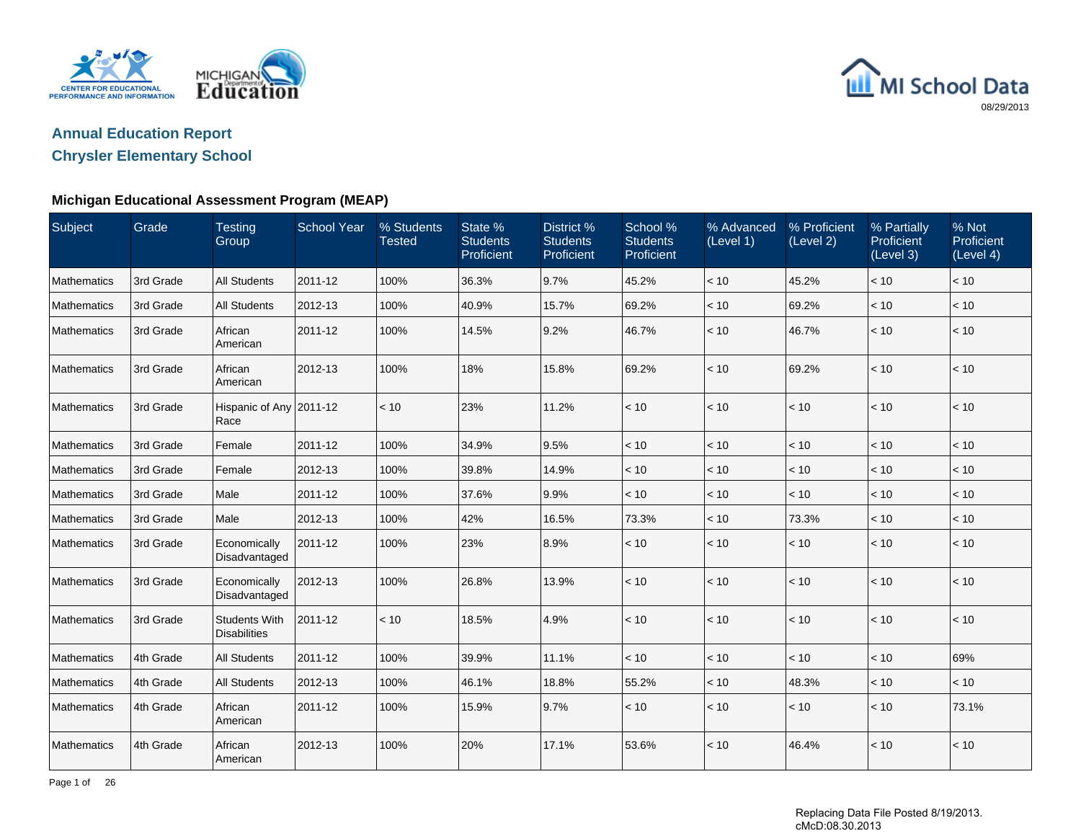

# MI School Data 08/29/2013

# **Annual Education Report**

## **Chrysler Elementary School**

### **Michigan Educational Assessment Program (MEAP)**

| <b>Subject</b> | Grade     | <b>Testing</b><br>Group                     | <b>School Year</b> | % Students<br><b>Tested</b> | State %<br><b>Students</b><br>Proficient | District %<br><b>Students</b><br>Proficient | School %<br><b>Students</b><br>Proficient | % Advanced<br>(Level 1) | % Proficient<br>(Level 2) | % Partially<br>Proficient<br>(Level 3) | % Not<br>Proficient<br>(Level 4) |
|----------------|-----------|---------------------------------------------|--------------------|-----------------------------|------------------------------------------|---------------------------------------------|-------------------------------------------|-------------------------|---------------------------|----------------------------------------|----------------------------------|
| Mathematics    | 3rd Grade | <b>All Students</b>                         | 2011-12            | 100%                        | 36.3%                                    | 9.7%                                        | 45.2%                                     | < 10                    | 45.2%                     | < 10                                   | < 10                             |
| Mathematics    | 3rd Grade | <b>All Students</b>                         | 2012-13            | 100%                        | 40.9%                                    | 15.7%                                       | 69.2%                                     | < 10                    | 69.2%                     | < 10                                   | < 10                             |
| Mathematics    | 3rd Grade | African<br>American                         | 2011-12            | 100%                        | 14.5%                                    | 9.2%                                        | 46.7%                                     | < 10                    | 46.7%                     | < 10                                   | < 10                             |
| Mathematics    | 3rd Grade | African<br>American                         | 2012-13            | 100%                        | 18%                                      | 15.8%                                       | 69.2%                                     | < 10                    | 69.2%                     | < 10                                   | < 10                             |
| Mathematics    | 3rd Grade | Hispanic of Any 2011-12<br>Race             |                    | < 10                        | 23%                                      | 11.2%                                       | < 10                                      | < 10                    | < 10                      | < 10                                   | < 10                             |
| Mathematics    | 3rd Grade | Female                                      | 2011-12            | 100%                        | 34.9%                                    | 9.5%                                        | < 10                                      | $<10$                   | $<10$                     | $<10$                                  | < 10                             |
| Mathematics    | 3rd Grade | Female                                      | 2012-13            | 100%                        | 39.8%                                    | 14.9%                                       | < 10                                      | < 10                    | < 10                      | $<10$                                  | < 10                             |
| Mathematics    | 3rd Grade | Male                                        | 2011-12            | 100%                        | 37.6%                                    | 9.9%                                        | < 10                                      | < 10                    | < 10                      | < 10                                   | < 10                             |
| Mathematics    | 3rd Grade | Male                                        | 2012-13            | 100%                        | 42%                                      | 16.5%                                       | 73.3%                                     | < 10                    | 73.3%                     | < 10                                   | < 10                             |
| Mathematics    | 3rd Grade | Economically<br>Disadvantaged               | 2011-12            | 100%                        | 23%                                      | 8.9%                                        | < 10                                      | < 10                    | < 10                      | < 10                                   | < 10                             |
| Mathematics    | 3rd Grade | Economically<br>Disadvantaged               | 2012-13            | 100%                        | 26.8%                                    | 13.9%                                       | < 10                                      | < 10                    | < 10                      | < 10                                   | < 10                             |
| Mathematics    | 3rd Grade | <b>Students With</b><br><b>Disabilities</b> | 2011-12            | < 10                        | 18.5%                                    | 4.9%                                        | < 10                                      | < 10                    | < 10                      | $<10$                                  | < 10                             |
| Mathematics    | 4th Grade | <b>All Students</b>                         | 2011-12            | 100%                        | 39.9%                                    | 11.1%                                       | < 10                                      | < 10                    | < 10                      | < 10                                   | 69%                              |
| Mathematics    | 4th Grade | <b>All Students</b>                         | 2012-13            | 100%                        | 46.1%                                    | 18.8%                                       | 55.2%                                     | < 10                    | 48.3%                     | < 10                                   | < 10                             |
| Mathematics    | 4th Grade | African<br>American                         | 2011-12            | 100%                        | 15.9%                                    | 9.7%                                        | < 10                                      | < 10                    | < 10                      | < 10                                   | 73.1%                            |
| Mathematics    | 4th Grade | African<br>American                         | 2012-13            | 100%                        | 20%                                      | 17.1%                                       | 53.6%                                     | < 10                    | 46.4%                     | < 10                                   | < 10                             |

Page 1 of 26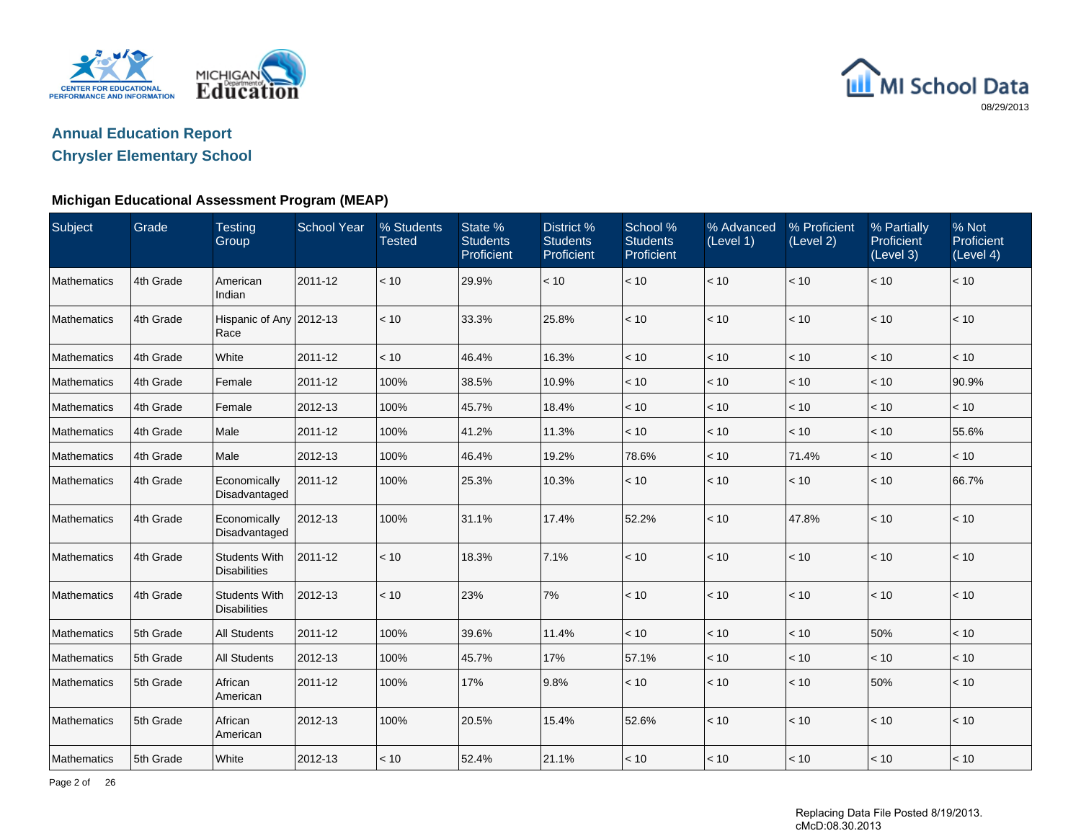



## **Chrysler Elementary School**

### **Michigan Educational Assessment Program (MEAP)**

| Subject     | Grade     | <b>Testing</b><br>Group                     | <b>School Year</b> | % Students<br><b>Tested</b> | State %<br><b>Students</b><br>Proficient | District %<br><b>Students</b><br>Proficient | School %<br><b>Students</b><br>Proficient | % Advanced<br>(Level 1) | % Proficient<br>(Level 2) | % Partially<br>Proficient<br>(Level 3) | % Not<br>Proficient<br>(Level 4) |
|-------------|-----------|---------------------------------------------|--------------------|-----------------------------|------------------------------------------|---------------------------------------------|-------------------------------------------|-------------------------|---------------------------|----------------------------------------|----------------------------------|
| Mathematics | 4th Grade | American<br>Indian                          | 2011-12            | < 10                        | 29.9%                                    | $<10$                                       | $<10$                                     | < 10                    | < 10                      | < 10                                   | < 10                             |
| Mathematics | 4th Grade | Hispanic of Any 2012-13<br>Race             |                    | < 10                        | 33.3%                                    | 25.8%                                       | < 10                                      | < 10                    | < 10                      | < 10                                   | < 10                             |
| Mathematics | 4th Grade | White                                       | 2011-12            | < 10                        | 46.4%                                    | 16.3%                                       | < 10                                      | < 10                    | < 10                      | < 10                                   | < 10                             |
| Mathematics | 4th Grade | Female                                      | 2011-12            | 100%                        | 38.5%                                    | 10.9%                                       | < 10                                      | < 10                    | < 10                      | < 10                                   | 90.9%                            |
| Mathematics | 4th Grade | Female                                      | 2012-13            | 100%                        | 45.7%                                    | 18.4%                                       | < 10                                      | $<10$                   | < 10                      | < 10                                   | $<10$                            |
| Mathematics | 4th Grade | Male                                        | 2011-12            | 100%                        | 41.2%                                    | 11.3%                                       | < 10                                      | < 10                    | < 10                      | < 10                                   | 55.6%                            |
| Mathematics | 4th Grade | Male                                        | 2012-13            | 100%                        | 46.4%                                    | 19.2%                                       | 78.6%                                     | < 10                    | 71.4%                     | < 10                                   | < 10                             |
| Mathematics | 4th Grade | Economically<br>Disadvantaged               | 2011-12            | 100%                        | 25.3%                                    | 10.3%                                       | < 10                                      | < 10                    | < 10                      | < 10                                   | 66.7%                            |
| Mathematics | 4th Grade | Economically<br>Disadvantaged               | 2012-13            | 100%                        | 31.1%                                    | 17.4%                                       | 52.2%                                     | < 10                    | 47.8%                     | < 10                                   | < 10                             |
| Mathematics | 4th Grade | <b>Students With</b><br><b>Disabilities</b> | 2011-12            | < 10                        | 18.3%                                    | 7.1%                                        | < 10                                      | < 10                    | < 10                      | < 10                                   | < 10                             |
| Mathematics | 4th Grade | <b>Students With</b><br><b>Disabilities</b> | 2012-13            | < 10                        | 23%                                      | $7\%$                                       | < 10                                      | < 10                    | < 10                      | < 10                                   | < 10                             |
| Mathematics | 5th Grade | <b>All Students</b>                         | 2011-12            | 100%                        | 39.6%                                    | 11.4%                                       | < 10                                      | < 10                    | < 10                      | 50%                                    | < 10                             |
| Mathematics | 5th Grade | <b>All Students</b>                         | 2012-13            | 100%                        | 45.7%                                    | 17%                                         | 57.1%                                     | < 10                    | < 10                      | < 10                                   | < 10                             |
| Mathematics | 5th Grade | African<br>American                         | 2011-12            | 100%                        | 17%                                      | 9.8%                                        | < 10                                      | < 10                    | < 10                      | 50%                                    | < 10                             |
| Mathematics | 5th Grade | African<br>American                         | 2012-13            | 100%                        | 20.5%                                    | 15.4%                                       | 52.6%                                     | < 10                    | < 10                      | < 10                                   | < 10                             |
| Mathematics | 5th Grade | White                                       | 2012-13            | < 10                        | 52.4%                                    | 21.1%                                       | < 10                                      | < 10                    | < 10                      | < 10                                   | < 10                             |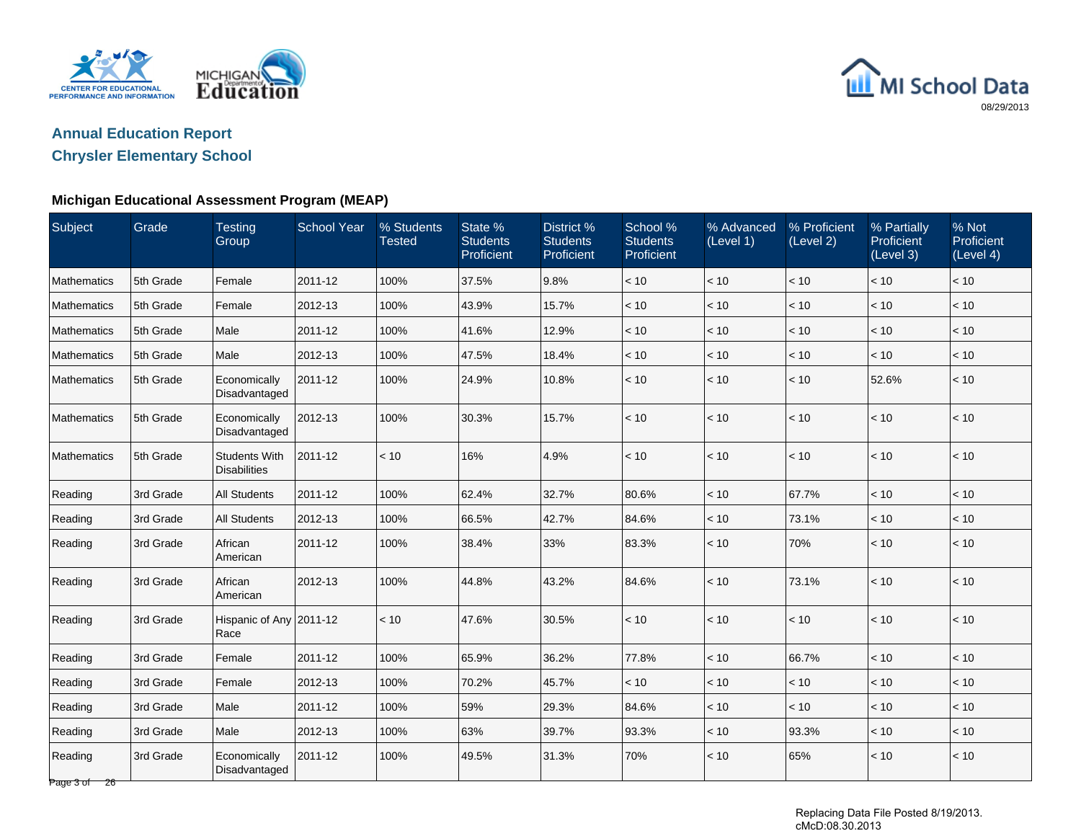

# MI School Data 08/29/2013

# **Annual Education Report**

## **Chrysler Elementary School**

### **Michigan Educational Assessment Program (MEAP)**

| Subject                 | Grade     | <b>Testing</b><br>Group                     | <b>School Year</b> | % Students<br><b>Tested</b> | State %<br><b>Students</b><br>Proficient | District %<br><b>Students</b><br>Proficient | School %<br><b>Students</b><br>Proficient | % Advanced<br>(Level 1) | % Proficient<br>(Level 2) | % Partially<br>Proficient<br>(Level 3) | % Not<br>Proficient<br>(Level 4) |
|-------------------------|-----------|---------------------------------------------|--------------------|-----------------------------|------------------------------------------|---------------------------------------------|-------------------------------------------|-------------------------|---------------------------|----------------------------------------|----------------------------------|
| Mathematics             | 5th Grade | Female                                      | 2011-12            | 100%                        | 37.5%                                    | 9.8%                                        | < 10                                      | < 10                    | < 10                      | < 10                                   | < 10                             |
| Mathematics             | 5th Grade | Female                                      | 2012-13            | 100%                        | 43.9%                                    | 15.7%                                       | < 10                                      | $<10$                   | $<10$                     | < 10                                   | < 10                             |
| Mathematics             | 5th Grade | Male                                        | 2011-12            | 100%                        | 41.6%                                    | 12.9%                                       | < 10                                      | < 10                    | < 10                      | < 10                                   | < 10                             |
| <b>Mathematics</b>      | 5th Grade | Male                                        | 2012-13            | 100%                        | 47.5%                                    | 18.4%                                       | < 10                                      | < 10                    | < 10                      | < 10                                   | < 10                             |
| Mathematics             | 5th Grade | Economically<br>Disadvantaged               | 2011-12            | 100%                        | 24.9%                                    | 10.8%                                       | < 10                                      | < 10                    | $<10$                     | 52.6%                                  | < 10                             |
| Mathematics             | 5th Grade | Economically<br>Disadvantaged               | 2012-13            | 100%                        | 30.3%                                    | 15.7%                                       | < 10                                      | < 10                    | < 10                      | < 10                                   | < 10                             |
| Mathematics             | 5th Grade | <b>Students With</b><br><b>Disabilities</b> | 2011-12            | < 10                        | 16%                                      | 4.9%                                        | < 10                                      | < 10                    | < 10                      | < 10                                   | < 10                             |
| Reading                 | 3rd Grade | <b>All Students</b>                         | 2011-12            | 100%                        | 62.4%                                    | 32.7%                                       | 80.6%                                     | < 10                    | 67.7%                     | < 10                                   | < 10                             |
| Reading                 | 3rd Grade | <b>All Students</b>                         | 2012-13            | 100%                        | 66.5%                                    | 42.7%                                       | 84.6%                                     | < 10                    | 73.1%                     | < 10                                   | < 10                             |
| Reading                 | 3rd Grade | African<br>American                         | 2011-12            | 100%                        | 38.4%                                    | 33%                                         | 83.3%                                     | $<10$                   | 70%                       | $<10$                                  | < 10                             |
| Reading                 | 3rd Grade | African<br>American                         | 2012-13            | 100%                        | 44.8%                                    | 43.2%                                       | 84.6%                                     | < 10                    | 73.1%                     | < 10                                   | < 10                             |
| Reading                 | 3rd Grade | Hispanic of Any 2011-12<br>Race             |                    | < 10                        | 47.6%                                    | 30.5%                                       | < 10                                      | < 10                    | < 10                      | < 10                                   | < 10                             |
| Reading                 | 3rd Grade | Female                                      | 2011-12            | 100%                        | 65.9%                                    | 36.2%                                       | 77.8%                                     | $<10$                   | 66.7%                     | < 10                                   | < 10                             |
| Reading                 | 3rd Grade | Female                                      | 2012-13            | 100%                        | 70.2%                                    | 45.7%                                       | < 10                                      | $<10$                   | $<10$                     | < 10                                   | $<10$                            |
| Reading                 | 3rd Grade | Male                                        | 2011-12            | 100%                        | 59%                                      | 29.3%                                       | 84.6%                                     | < 10                    | < 10                      | < 10                                   | < 10                             |
| Reading                 | 3rd Grade | Male                                        | 2012-13            | 100%                        | 63%                                      | 39.7%                                       | 93.3%                                     | < 10                    | 93.3%                     | < 10                                   | < 10                             |
| Reading<br>Page 3 of 26 | 3rd Grade | Economically<br>Disadvantaged               | 2011-12            | 100%                        | 49.5%                                    | 31.3%                                       | 70%                                       | < 10                    | 65%                       | < 10                                   | < 10                             |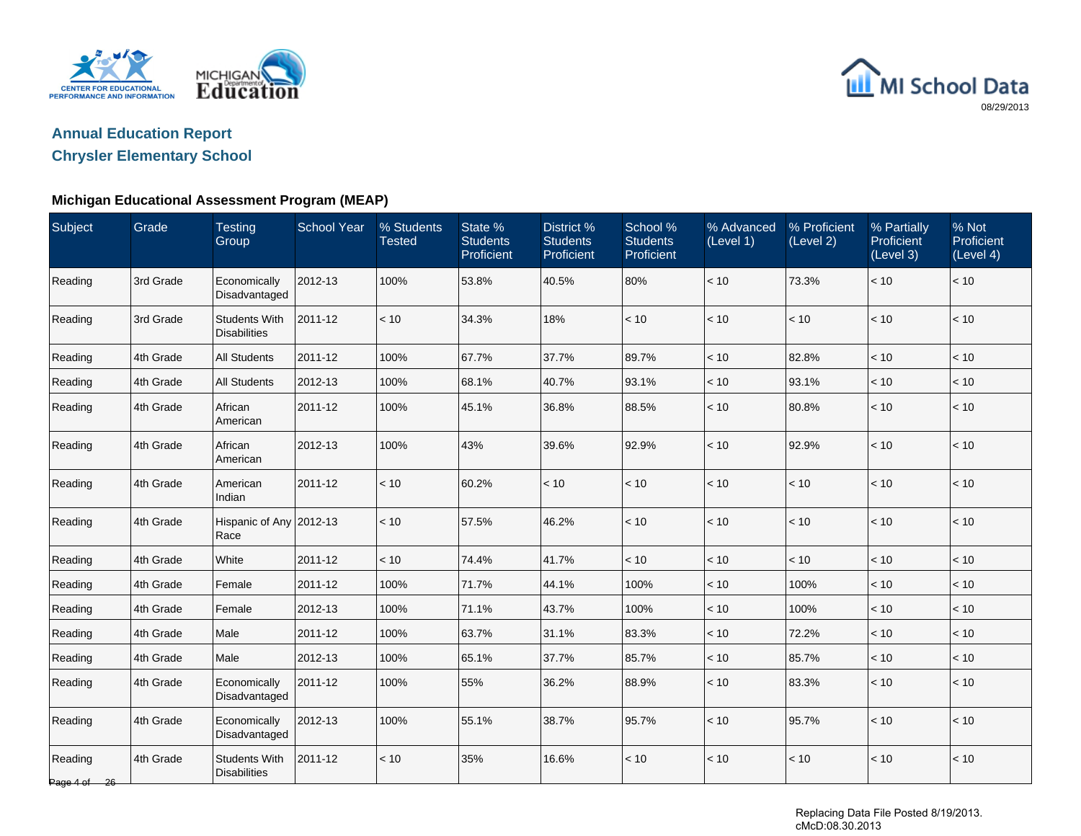



## **Chrysler Elementary School**

### **Michigan Educational Assessment Program (MEAP)**

| Subject                            | Grade     | <b>Testing</b><br>Group                     | <b>School Year</b> | % Students<br><b>Tested</b> | State %<br><b>Students</b><br>Proficient | District %<br><b>Students</b><br>Proficient | School %<br><b>Students</b><br>Proficient | % Advanced<br>(Level 1) | % Proficient<br>(Level 2) | % Partially<br>Proficient<br>(Level 3) | % Not<br>Proficient<br>(Level 4) |
|------------------------------------|-----------|---------------------------------------------|--------------------|-----------------------------|------------------------------------------|---------------------------------------------|-------------------------------------------|-------------------------|---------------------------|----------------------------------------|----------------------------------|
| Reading                            | 3rd Grade | Economically<br>Disadvantaged               | 2012-13            | 100%                        | 53.8%                                    | 40.5%                                       | 80%                                       | < 10                    | 73.3%                     | < 10                                   | < 10                             |
| Reading                            | 3rd Grade | <b>Students With</b><br><b>Disabilities</b> | 2011-12            | < 10                        | 34.3%                                    | 18%                                         | < 10                                      | < 10                    | < 10                      | < 10                                   | < 10                             |
| Reading                            | 4th Grade | <b>All Students</b>                         | 2011-12            | 100%                        | 67.7%                                    | 37.7%                                       | 89.7%                                     | < 10                    | 82.8%                     | < 10                                   | < 10                             |
| Reading                            | 4th Grade | <b>All Students</b>                         | 2012-13            | 100%                        | 68.1%                                    | 40.7%                                       | 93.1%                                     | < 10                    | 93.1%                     | < 10                                   | $<10$                            |
| Reading                            | 4th Grade | African<br>American                         | 2011-12            | 100%                        | 45.1%                                    | 36.8%                                       | 88.5%                                     | < 10                    | 80.8%                     | < 10                                   | $<10$                            |
| Reading                            | 4th Grade | African<br>American                         | 2012-13            | 100%                        | 43%                                      | 39.6%                                       | 92.9%                                     | < 10                    | 92.9%                     | < 10                                   | < 10                             |
| Reading                            | 4th Grade | American<br>Indian                          | 2011-12            | < 10                        | 60.2%                                    | < 10                                        | < 10                                      | < 10                    | < 10                      | < 10                                   | < 10                             |
| Reading                            | 4th Grade | Hispanic of Any 2012-13<br>Race             |                    | < 10                        | 57.5%                                    | 46.2%                                       | < 10                                      | < 10                    | < 10                      | < 10                                   | < 10                             |
| Reading                            | 4th Grade | White                                       | 2011-12            | < 10                        | 74.4%                                    | 41.7%                                       | < 10                                      | < 10                    | < 10                      | < 10                                   | < 10                             |
| Reading                            | 4th Grade | Female                                      | 2011-12            | 100%                        | 71.7%                                    | 44.1%                                       | 100%                                      | < 10                    | 100%                      | < 10                                   | < 10                             |
| Reading                            | 4th Grade | Female                                      | 2012-13            | 100%                        | 71.1%                                    | 43.7%                                       | 100%                                      | < 10                    | 100%                      | < 10                                   | < 10                             |
| Reading                            | 4th Grade | Male                                        | 2011-12            | 100%                        | 63.7%                                    | 31.1%                                       | 83.3%                                     | < 10                    | 72.2%                     | < 10                                   | < 10                             |
| Reading                            | 4th Grade | Male                                        | 2012-13            | 100%                        | 65.1%                                    | 37.7%                                       | 85.7%                                     | < 10                    | 85.7%                     | < 10                                   | $<10$                            |
| Reading                            | 4th Grade | Economically<br>Disadvantaged               | 2011-12            | 100%                        | 55%                                      | 36.2%                                       | 88.9%                                     | < 10                    | 83.3%                     | < 10                                   | < 10                             |
| Reading                            | 4th Grade | Economically<br>Disadvantaged               | 2012-13            | 100%                        | 55.1%                                    | 38.7%                                       | 95.7%                                     | < 10                    | 95.7%                     | < 10                                   | < 10                             |
| Reading<br>Page $4 \text{ of } 26$ | 4th Grade | <b>Students With</b><br><b>Disabilities</b> | 2011-12            | < 10                        | 35%                                      | 16.6%                                       | < 10                                      | < 10                    | < 10                      | < 10                                   | < 10                             |

Replacing Data File Posted 8/19/2013. cMcD:08.30.2013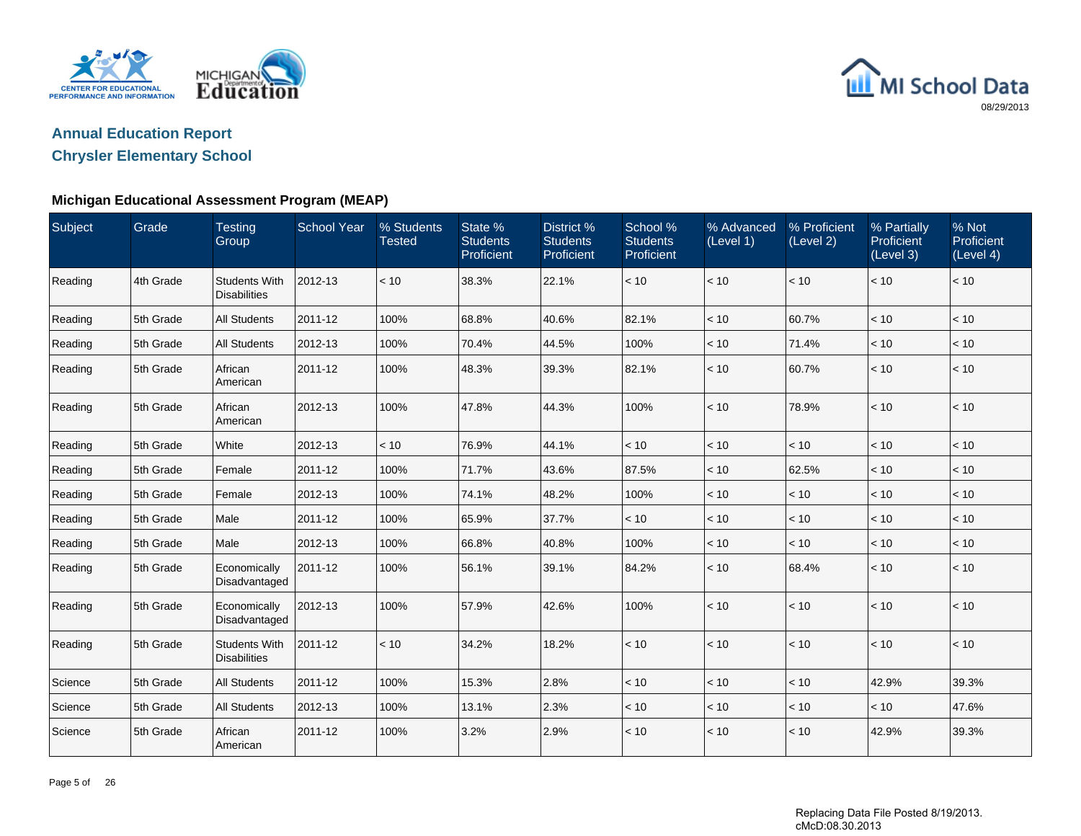



## **Chrysler Elementary School**

### **Michigan Educational Assessment Program (MEAP)**

| Subject | Grade     | <b>Testing</b><br>Group                     | <b>School Year</b> | % Students<br><b>Tested</b> | State %<br><b>Students</b><br>Proficient | District %<br><b>Students</b><br>Proficient | School %<br><b>Students</b><br>Proficient | % Advanced<br>(Level 1) | % Proficient<br>(Level 2) | % Partially<br>Proficient<br>(Level 3) | % Not<br>Proficient<br>(Level 4) |
|---------|-----------|---------------------------------------------|--------------------|-----------------------------|------------------------------------------|---------------------------------------------|-------------------------------------------|-------------------------|---------------------------|----------------------------------------|----------------------------------|
| Reading | 4th Grade | <b>Students With</b><br><b>Disabilities</b> | 2012-13            | < 10                        | 38.3%                                    | 22.1%                                       | < 10                                      | $<10$                   | < 10                      | < 10                                   | < 10                             |
| Reading | 5th Grade | <b>All Students</b>                         | 2011-12            | 100%                        | 68.8%                                    | 40.6%                                       | 82.1%                                     | < 10                    | 60.7%                     | < 10                                   | < 10                             |
| Reading | 5th Grade | <b>All Students</b>                         | 2012-13            | 100%                        | 70.4%                                    | 44.5%                                       | 100%                                      | < 10                    | 71.4%                     | < 10                                   | < 10                             |
| Reading | 5th Grade | African<br>American                         | 2011-12            | 100%                        | 48.3%                                    | 39.3%                                       | 82.1%                                     | < 10                    | 60.7%                     | < 10                                   | < 10                             |
| Reading | 5th Grade | African<br>American                         | 2012-13            | 100%                        | 47.8%                                    | 44.3%                                       | 100%                                      | < 10                    | 78.9%                     | < 10                                   | < 10                             |
| Reading | 5th Grade | White                                       | 2012-13            | < 10                        | 76.9%                                    | 44.1%                                       | < 10                                      | < 10                    | < 10                      | < 10                                   | < 10                             |
| Reading | 5th Grade | Female                                      | 2011-12            | 100%                        | 71.7%                                    | 43.6%                                       | 87.5%                                     | < 10                    | 62.5%                     | < 10                                   | < 10                             |
| Reading | 5th Grade | Female                                      | 2012-13            | 100%                        | 74.1%                                    | 48.2%                                       | 100%                                      | < 10                    | < 10                      | < 10                                   | $<10$                            |
| Reading | 5th Grade | Male                                        | 2011-12            | 100%                        | 65.9%                                    | 37.7%                                       | < 10                                      | < 10                    | < 10                      | < 10                                   | $<10$                            |
| Reading | 5th Grade | Male                                        | 2012-13            | 100%                        | 66.8%                                    | 40.8%                                       | 100%                                      | < 10                    | < 10                      | < 10                                   | < 10                             |
| Reading | 5th Grade | Economically<br>Disadvantaged               | 2011-12            | 100%                        | 56.1%                                    | 39.1%                                       | 84.2%                                     | < 10                    | 68.4%                     | < 10                                   | $<10$                            |
| Reading | 5th Grade | Economically<br>Disadvantaged               | 2012-13            | 100%                        | 57.9%                                    | 42.6%                                       | 100%                                      | < 10                    | < 10                      | < 10                                   | < 10                             |
| Reading | 5th Grade | <b>Students With</b><br><b>Disabilities</b> | 2011-12            | < 10                        | 34.2%                                    | 18.2%                                       | < 10                                      | < 10                    | < 10                      | < 10                                   | < 10                             |
| Science | 5th Grade | <b>All Students</b>                         | 2011-12            | 100%                        | 15.3%                                    | 2.8%                                        | < 10                                      | < 10                    | < 10                      | 42.9%                                  | 39.3%                            |
| Science | 5th Grade | <b>All Students</b>                         | 2012-13            | 100%                        | 13.1%                                    | 2.3%                                        | < 10                                      | < 10                    | < 10                      | < 10                                   | 47.6%                            |
| Science | 5th Grade | African<br>American                         | 2011-12            | 100%                        | 3.2%                                     | 2.9%                                        | < 10                                      | < 10                    | < 10                      | 42.9%                                  | 39.3%                            |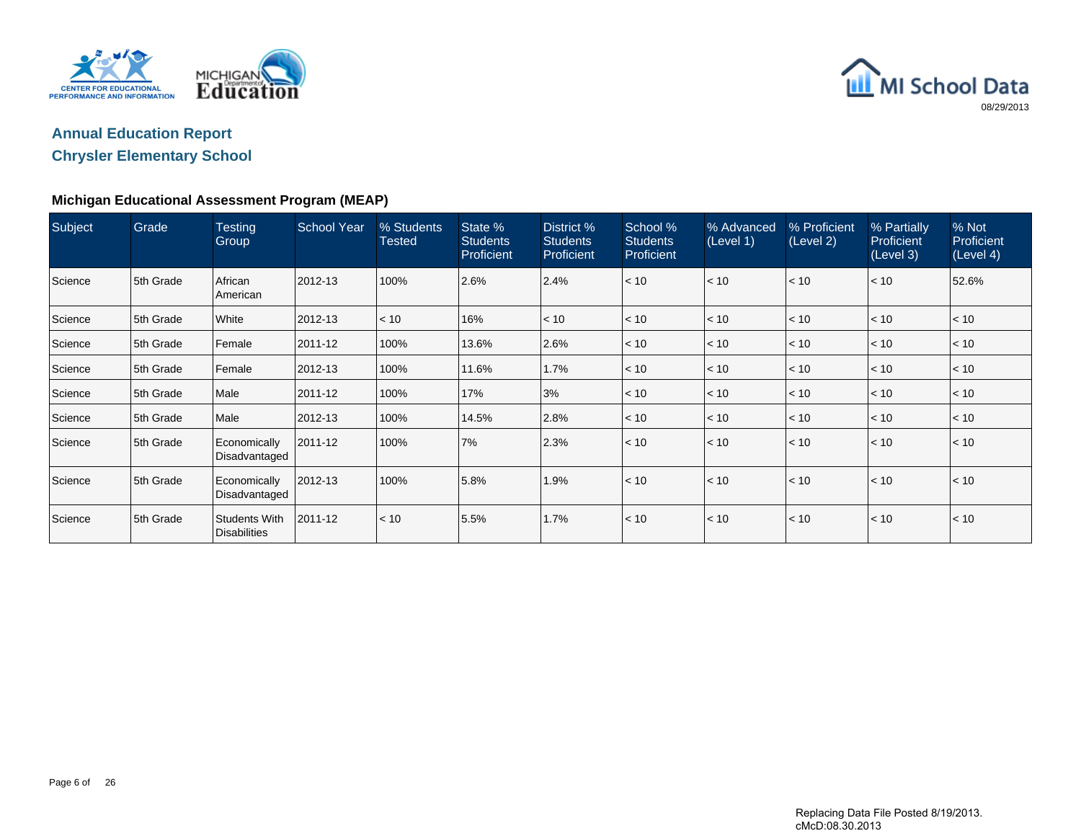



## **Chrysler Elementary School**

### **Michigan Educational Assessment Program (MEAP)**

| Subject | Grade     | <b>Testing</b><br>Group                     | <b>School Year</b> | % Students<br>Tested | State %<br><b>Students</b><br>Proficient | District %<br><b>Students</b><br><b>Proficient</b> | School %<br><b>Students</b><br><b>Proficient</b> | % Advanced<br>(Level 1) | % Proficient<br>(Level 2) | % Partially<br>Proficient<br>(Level 3) | % Not<br>Proficient<br>(Level 4) |
|---------|-----------|---------------------------------------------|--------------------|----------------------|------------------------------------------|----------------------------------------------------|--------------------------------------------------|-------------------------|---------------------------|----------------------------------------|----------------------------------|
| Science | 5th Grade | African<br>American                         | 2012-13            | 100%                 | 2.6%                                     | 2.4%                                               | < 10                                             | < 10                    | < 10                      | < 10                                   | 52.6%                            |
| Science | 5th Grade | White                                       | 2012-13            | < 10                 | 16%                                      | < 10                                               | < 10                                             | < 10                    | < 10                      | < 10                                   | < 10                             |
| Science | 5th Grade | Female                                      | 2011-12            | 100%                 | 13.6%                                    | 2.6%                                               | < 10                                             | < 10                    | < 10                      | < 10                                   | < 10                             |
| Science | 5th Grade | Female                                      | 2012-13            | 100%                 | 11.6%                                    | 1.7%                                               | < 10                                             | < 10                    | < 10                      | < 10                                   | < 10                             |
| Science | 5th Grade | Male                                        | 2011-12            | 100%                 | 17%                                      | 3%                                                 | < 10                                             | < 10                    | < 10                      | < 10                                   | < 10                             |
| Science | 5th Grade | Male                                        | 2012-13            | 100%                 | 14.5%                                    | 2.8%                                               | < 10                                             | < 10                    | < 10                      | < 10                                   | < 10                             |
| Science | 5th Grade | Economically<br>Disadvantaged               | 2011-12            | 100%                 | 7%                                       | 2.3%                                               | < 10                                             | < 10                    | < 10                      | < 10                                   | < 10                             |
| Science | 5th Grade | Economically<br>Disadvantaged               | 2012-13            | 100%                 | 5.8%                                     | 1.9%                                               | < 10                                             | < 10                    | $\leq 10$                 | < 10                                   | < 10                             |
| Science | 5th Grade | <b>Students With</b><br><b>Disabilities</b> | 2011-12            | < 10                 | 5.5%                                     | 1.7%                                               | < 10                                             | < 10                    | < 10                      | < 10                                   | < 10                             |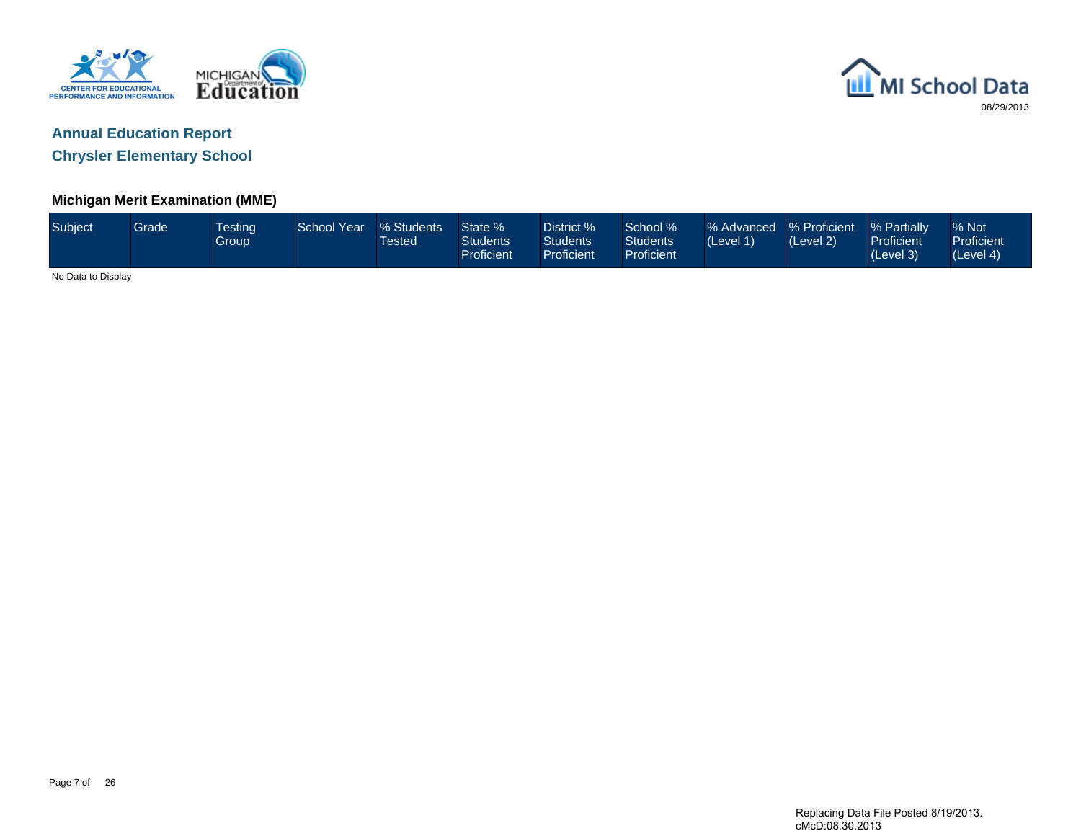



#### **Michigan Merit Examination (MME)**

| Subject            | <b>Grade</b> | <b>Testing</b><br><b>Group</b> | School Year | % Students<br>Tested | State %<br><b>Students</b><br>Proficient | District %<br>Students<br>Proficient | School %<br>Students<br>Proficient | % Advanced % Proficient<br>(Level 1) | (Level 2) | % Partially<br><b>Proficient</b><br>(Level 3) | % Not<br>Proficient<br>(Level 4) |
|--------------------|--------------|--------------------------------|-------------|----------------------|------------------------------------------|--------------------------------------|------------------------------------|--------------------------------------|-----------|-----------------------------------------------|----------------------------------|
| No Data to Display |              |                                |             |                      |                                          |                                      |                                    |                                      |           |                                               |                                  |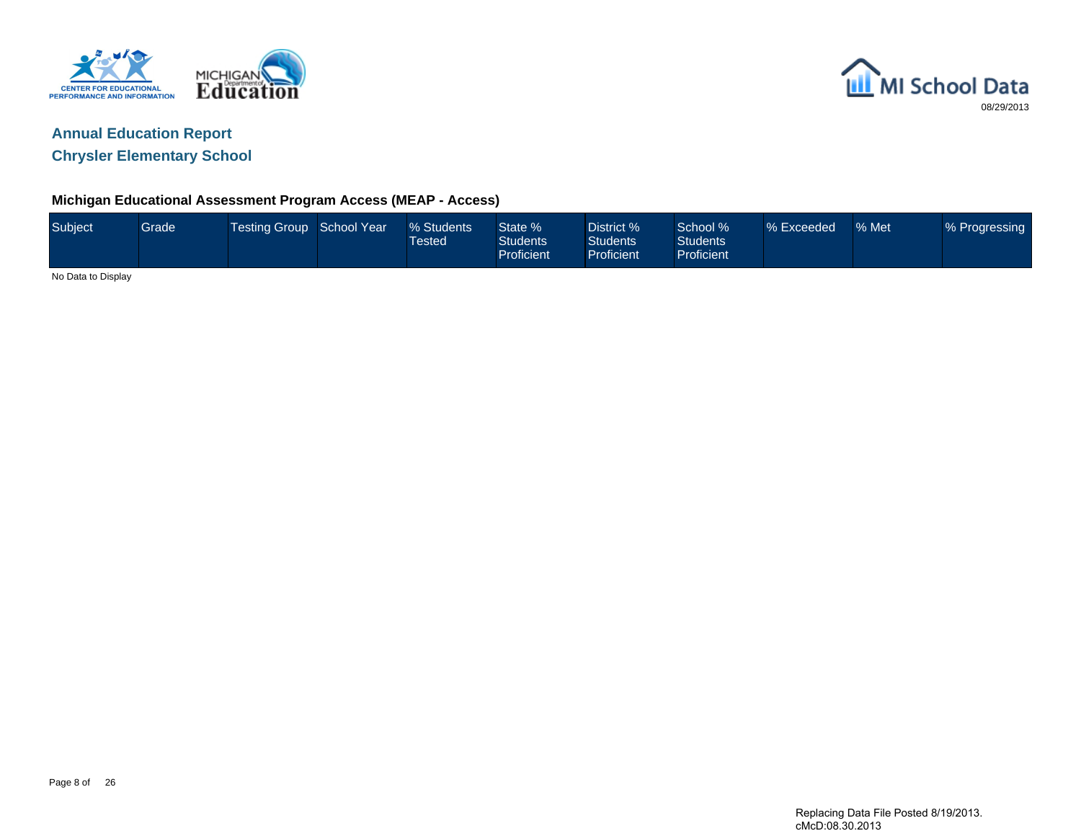



**Chrysler Elementary School**

### **Michigan Educational Assessment Program Access (MEAP - Access)**

| Subject            | Grade <sup>1</sup> | Testing Group School Year | % Students<br>Tested <sup>1</sup> | State %<br>Students <sup>1</sup><br>Proficient | District %<br><b>Students</b><br>Proficient | School %<br>Students<br><b>Proficient</b> | % Exceeded | % Met | % Progressing |
|--------------------|--------------------|---------------------------|-----------------------------------|------------------------------------------------|---------------------------------------------|-------------------------------------------|------------|-------|---------------|
| No Data to Display |                    |                           |                                   |                                                |                                             |                                           |            |       |               |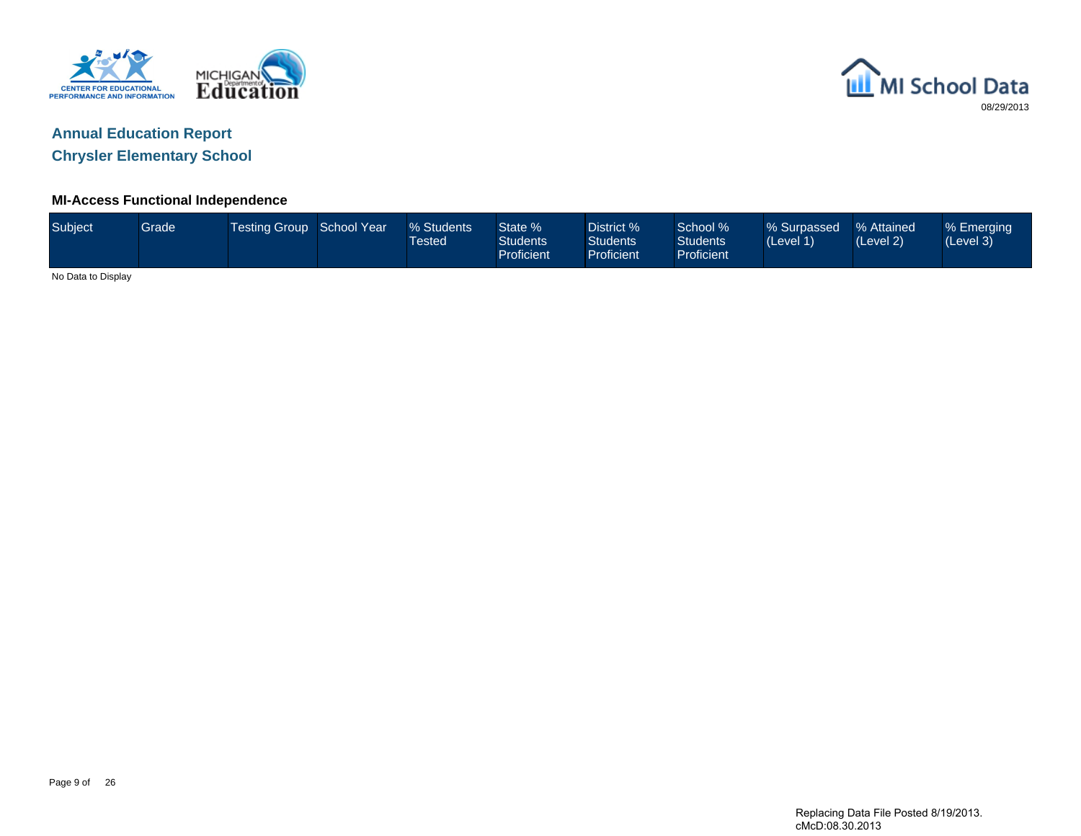



**Chrysler Elementary School**

### **MI-Access Functional Independence**

| Subject            | Grade | Testing Group School Year | % Students<br><b>Tested</b> | State %<br><b>Students</b><br>Proficient | District %<br>Students <sup>1</sup><br><b>Proficient</b> | School %<br><b>Students</b><br>Proficient | % Surpassed<br>(Level 1) | % Attained<br>(Level 2) | % Emerging<br>(Level 3) |
|--------------------|-------|---------------------------|-----------------------------|------------------------------------------|----------------------------------------------------------|-------------------------------------------|--------------------------|-------------------------|-------------------------|
| No Data to Display |       |                           |                             |                                          |                                                          |                                           |                          |                         |                         |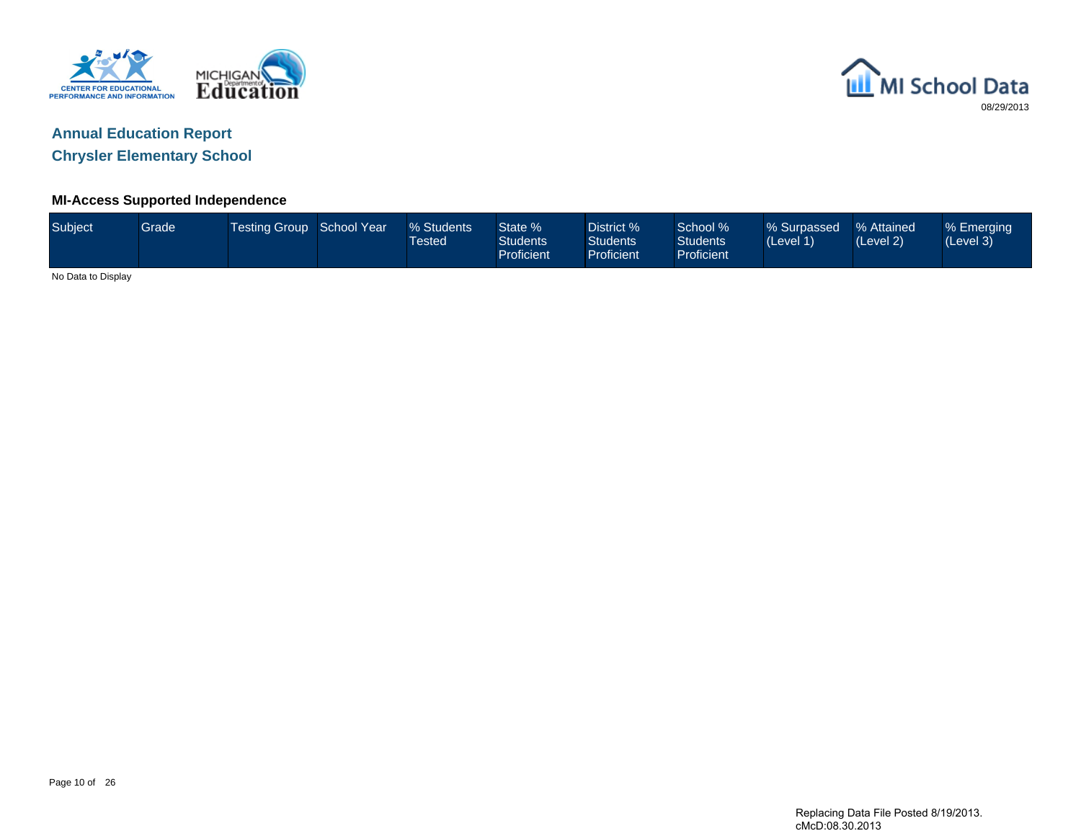



**Chrysler Elementary School**

### **MI-Access Supported Independence**

| Subject            | Grade | Testing Group School Year | % Students<br><b>Tested</b> | State %<br><b>Students</b><br>Proficient | District %<br><b>Students</b><br><b>Proficient</b> | School %<br><b>Students</b><br>Proficient | % Surpassed<br>(Level 1) | % Attained<br>(Level 2) | % Emerging<br>(Level 3) |
|--------------------|-------|---------------------------|-----------------------------|------------------------------------------|----------------------------------------------------|-------------------------------------------|--------------------------|-------------------------|-------------------------|
| No Data to Display |       |                           |                             |                                          |                                                    |                                           |                          |                         |                         |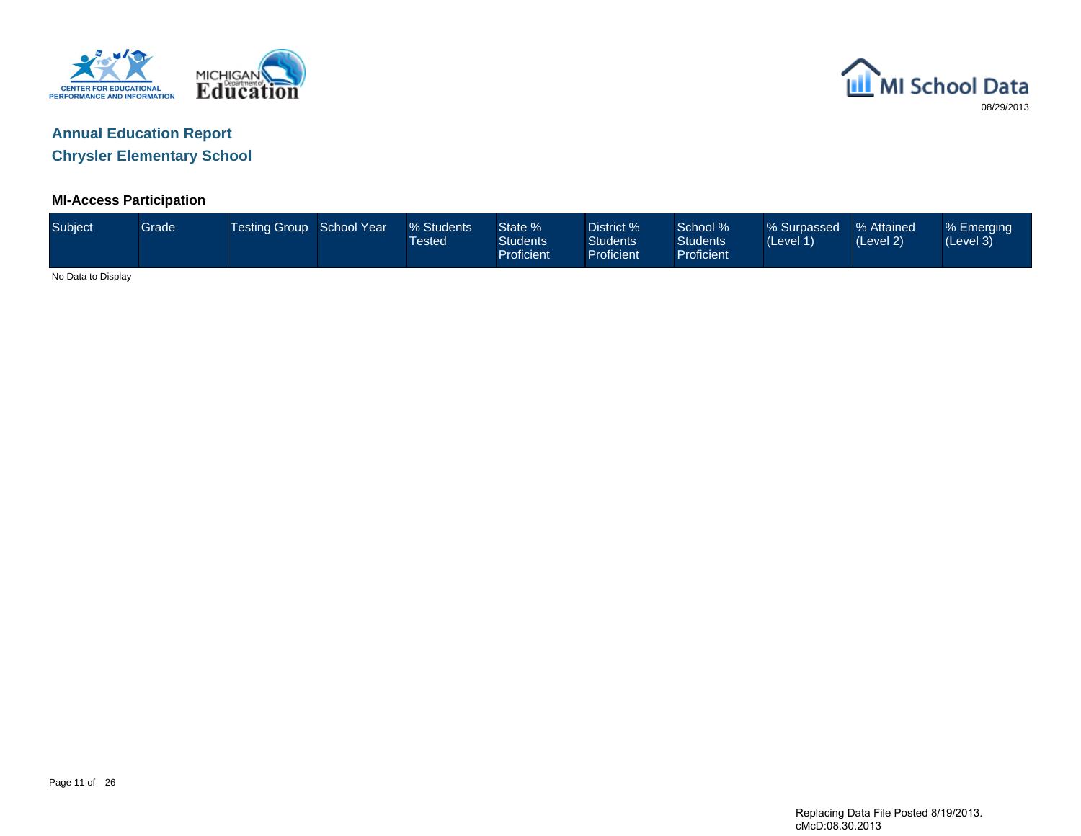



#### **MI-Access Participation**

| Subject            | Grade | Testing Group School Year | % Students<br><b>Tested</b> | State %<br><b>Students</b><br>Proficient | District %<br><b>Students</b><br>Proficient | School %<br><b>Students</b><br>Proficient | Surpassed % Attained /<br>(Level 1) | (Level 2) | % Emerging<br>(Level 3) |
|--------------------|-------|---------------------------|-----------------------------|------------------------------------------|---------------------------------------------|-------------------------------------------|-------------------------------------|-----------|-------------------------|
| No Data to Display |       |                           |                             |                                          |                                             |                                           |                                     |           |                         |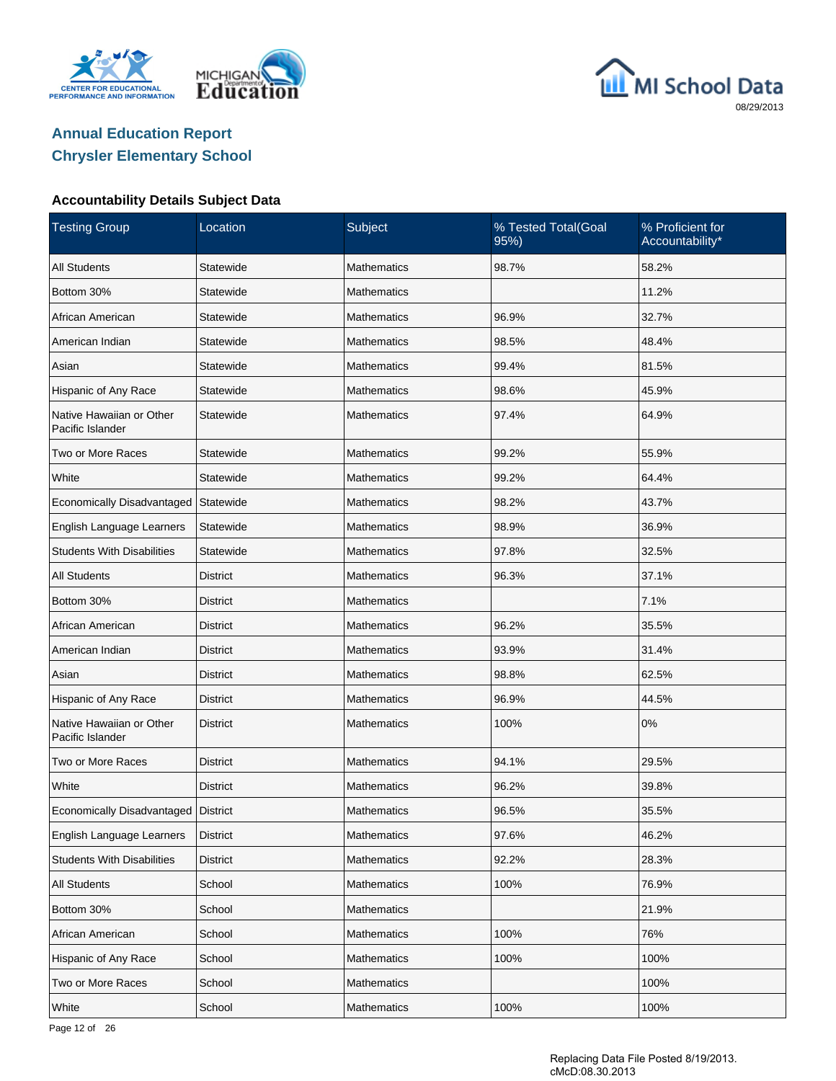





#### **Accountability Details Subject Data**

| <b>Testing Group</b>                         | Location        | Subject            | % Tested Total(Goal<br>95%) | % Proficient for<br>Accountability* |
|----------------------------------------------|-----------------|--------------------|-----------------------------|-------------------------------------|
| <b>All Students</b>                          | Statewide       | <b>Mathematics</b> | 98.7%                       | 58.2%                               |
| Bottom 30%                                   | Statewide       | <b>Mathematics</b> |                             | 11.2%                               |
| African American                             | Statewide       | Mathematics        | 96.9%                       | 32.7%                               |
| American Indian                              | Statewide       | <b>Mathematics</b> | 98.5%                       | 48.4%                               |
| Asian                                        | Statewide       | Mathematics        | 99.4%                       | 81.5%                               |
| Hispanic of Any Race                         | Statewide       | <b>Mathematics</b> | 98.6%                       | 45.9%                               |
| Native Hawaiian or Other<br>Pacific Islander | Statewide       | <b>Mathematics</b> | 97.4%                       | 64.9%                               |
| Two or More Races                            | Statewide       | <b>Mathematics</b> | 99.2%                       | 55.9%                               |
| White                                        | Statewide       | <b>Mathematics</b> | 99.2%                       | 64.4%                               |
| Economically Disadvantaged                   | Statewide       | <b>Mathematics</b> | 98.2%                       | 43.7%                               |
| English Language Learners                    | Statewide       | <b>Mathematics</b> | 98.9%                       | 36.9%                               |
| <b>Students With Disabilities</b>            | Statewide       | <b>Mathematics</b> | 97.8%                       | 32.5%                               |
| <b>All Students</b>                          | <b>District</b> | <b>Mathematics</b> | 96.3%                       | 37.1%                               |
| Bottom 30%                                   | <b>District</b> | <b>Mathematics</b> |                             | 7.1%                                |
| African American                             | <b>District</b> | <b>Mathematics</b> | 96.2%                       | 35.5%                               |
| American Indian                              | <b>District</b> | <b>Mathematics</b> | 93.9%                       | 31.4%                               |
| Asian                                        | District        | <b>Mathematics</b> | 98.8%                       | 62.5%                               |
| Hispanic of Any Race                         | <b>District</b> | <b>Mathematics</b> | 96.9%                       | 44.5%                               |
| Native Hawaiian or Other<br>Pacific Islander | <b>District</b> | <b>Mathematics</b> | 100%                        | 0%                                  |
| Two or More Races                            | District        | <b>Mathematics</b> | 94.1%                       | 29.5%                               |
| White                                        | <b>District</b> | <b>Mathematics</b> | 96.2%                       | 39.8%                               |
| Economically Disadvantaged   District        |                 | <b>Mathematics</b> | 96.5%                       | 35.5%                               |
| English Language Learners                    | <b>District</b> | Mathematics        | 97.6%                       | 46.2%                               |
| <b>Students With Disabilities</b>            | <b>District</b> | Mathematics        | 92.2%                       | 28.3%                               |
| <b>All Students</b>                          | School          | <b>Mathematics</b> | 100%                        | 76.9%                               |
| Bottom 30%                                   | School          | Mathematics        |                             | 21.9%                               |
| African American                             | School          | <b>Mathematics</b> | 100%                        | 76%                                 |
| Hispanic of Any Race                         | School          | Mathematics        | 100%                        | 100%                                |
| Two or More Races                            | School          | <b>Mathematics</b> |                             | 100%                                |
| White                                        | School          | Mathematics        | 100%                        | 100%                                |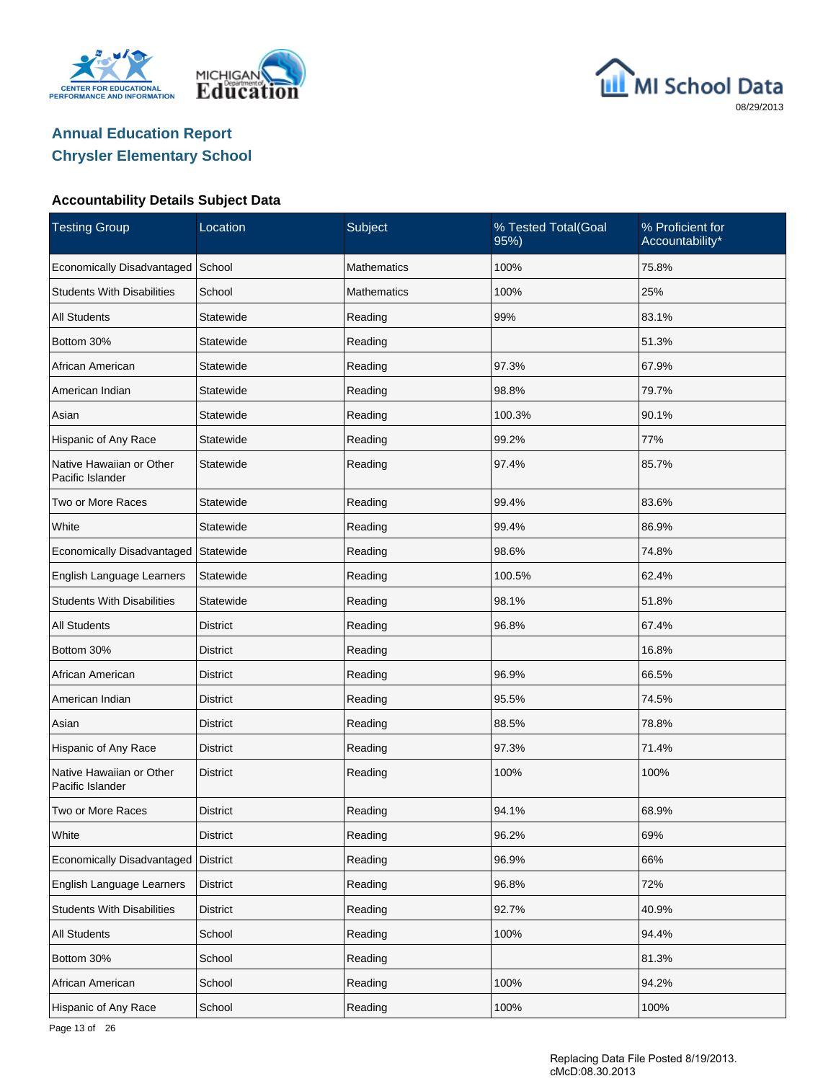





### **Accountability Details Subject Data**

| <b>Testing Group</b>                         | Location        | Subject            | % Tested Total(Goal<br>95%) | % Proficient for<br>Accountability* |
|----------------------------------------------|-----------------|--------------------|-----------------------------|-------------------------------------|
| Economically Disadvantaged                   | School          | <b>Mathematics</b> | 100%                        | 75.8%                               |
| <b>Students With Disabilities</b>            | School          | <b>Mathematics</b> | 100%                        | 25%                                 |
| <b>All Students</b>                          | Statewide       | Reading            | 99%                         | 83.1%                               |
| Bottom 30%                                   | Statewide       | Reading            |                             | 51.3%                               |
| African American                             | Statewide       | Reading            | 97.3%                       | 67.9%                               |
| American Indian                              | Statewide       | Reading            | 98.8%                       | 79.7%                               |
| Asian                                        | Statewide       | Reading            | 100.3%                      | 90.1%                               |
| Hispanic of Any Race                         | Statewide       | Reading            | 99.2%                       | 77%                                 |
| Native Hawaiian or Other<br>Pacific Islander | Statewide       | Reading            | 97.4%                       | 85.7%                               |
| Two or More Races                            | Statewide       | Reading            | 99.4%                       | 83.6%                               |
| White                                        | Statewide       | Reading            | 99.4%                       | 86.9%                               |
| Economically Disadvantaged                   | Statewide       | Reading            | 98.6%                       | 74.8%                               |
| English Language Learners                    | Statewide       | Reading            | 100.5%                      | 62.4%                               |
| <b>Students With Disabilities</b>            | Statewide       | Reading            | 98.1%                       | 51.8%                               |
| <b>All Students</b>                          | District        | Reading            | 96.8%                       | 67.4%                               |
| Bottom 30%                                   | District        | Reading            |                             | 16.8%                               |
| African American                             | District        | Reading            | 96.9%                       | 66.5%                               |
| American Indian                              | District        | Reading            | 95.5%                       | 74.5%                               |
| Asian                                        | <b>District</b> | Reading            | 88.5%                       | 78.8%                               |
| Hispanic of Any Race                         | District        | Reading            | 97.3%                       | 71.4%                               |
| Native Hawaiian or Other<br>Pacific Islander | <b>District</b> | Reading            | 100%                        | 100%                                |
| Two or More Races                            | <b>District</b> | Reading            | 94.1%                       | 68.9%                               |
| White                                        | <b>District</b> | Reading            | 96.2%                       | 69%                                 |
| Economically Disadvantaged                   | <b>District</b> | Reading            | 96.9%                       | 66%                                 |
| English Language Learners                    | <b>District</b> | Reading            | 96.8%                       | 72%                                 |
| <b>Students With Disabilities</b>            | <b>District</b> | Reading            | 92.7%                       | 40.9%                               |
| All Students                                 | School          | Reading            | 100%                        | 94.4%                               |
| Bottom 30%                                   | School          | Reading            |                             | 81.3%                               |
| African American                             | School          | Reading            | 100%                        | 94.2%                               |
| Hispanic of Any Race                         | School          | Reading            | 100%                        | 100%                                |

Page 13 of 26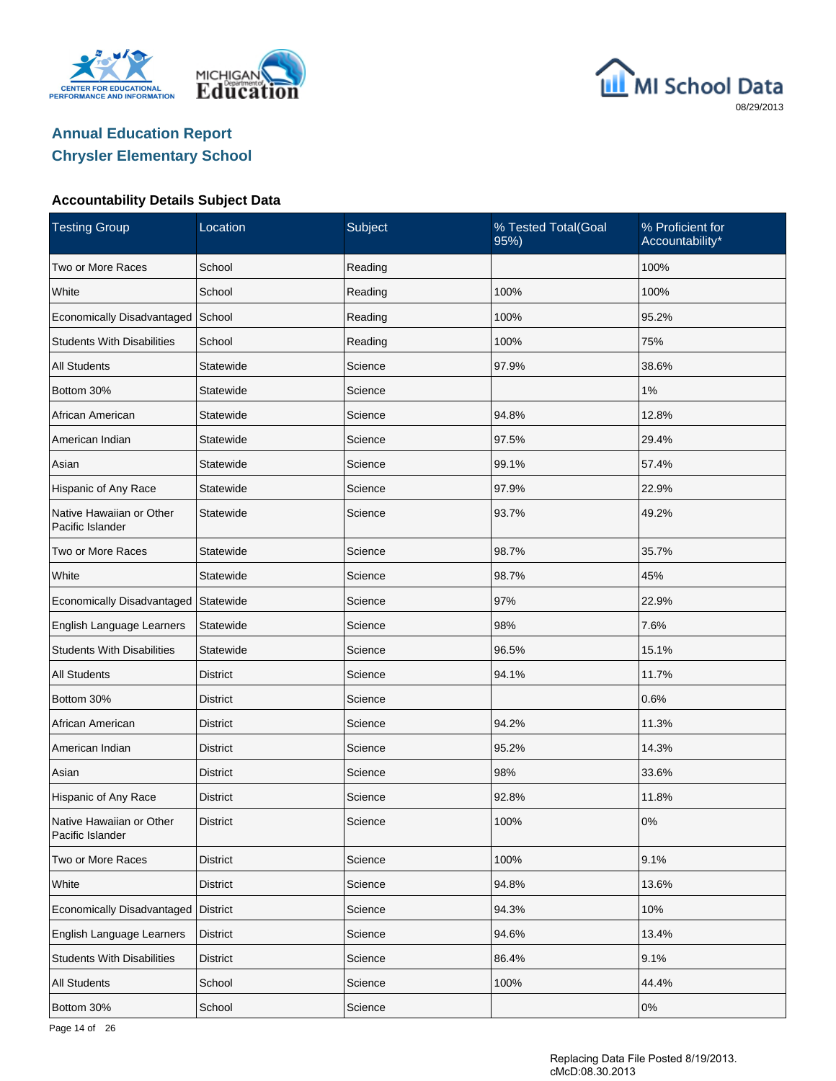





### **Accountability Details Subject Data**

| <b>Testing Group</b>                         | Location        | Subject | % Tested Total(Goal<br>95%) | % Proficient for<br>Accountability* |
|----------------------------------------------|-----------------|---------|-----------------------------|-------------------------------------|
| Two or More Races                            | School          | Reading |                             | 100%                                |
| White                                        | School          | Reading | 100%                        | 100%                                |
| Economically Disadvantaged                   | School          | Reading | 100%                        | 95.2%                               |
| <b>Students With Disabilities</b>            | School          | Reading | 100%                        | 75%                                 |
| <b>All Students</b>                          | Statewide       | Science | 97.9%                       | 38.6%                               |
| Bottom 30%                                   | Statewide       | Science |                             | 1%                                  |
| African American                             | Statewide       | Science | 94.8%                       | 12.8%                               |
| American Indian                              | Statewide       | Science | 97.5%                       | 29.4%                               |
| Asian                                        | Statewide       | Science | 99.1%                       | 57.4%                               |
| Hispanic of Any Race                         | Statewide       | Science | 97.9%                       | 22.9%                               |
| Native Hawaiian or Other<br>Pacific Islander | Statewide       | Science | 93.7%                       | 49.2%                               |
| Two or More Races                            | Statewide       | Science | 98.7%                       | 35.7%                               |
| White                                        | Statewide       | Science | 98.7%                       | 45%                                 |
| Economically Disadvantaged                   | Statewide       | Science | 97%                         | 22.9%                               |
| English Language Learners                    | Statewide       | Science | 98%                         | 7.6%                                |
| <b>Students With Disabilities</b>            | Statewide       | Science | 96.5%                       | 15.1%                               |
| <b>All Students</b>                          | District        | Science | 94.1%                       | 11.7%                               |
| Bottom 30%                                   | District        | Science |                             | 0.6%                                |
| African American                             | <b>District</b> | Science | 94.2%                       | 11.3%                               |
| American Indian                              | District        | Science | 95.2%                       | 14.3%                               |
| Asian                                        | <b>District</b> | Science | 98%                         | 33.6%                               |
| Hispanic of Any Race                         | District        | Science | 92.8%                       | 11.8%                               |
| Native Hawaiian or Other<br>Pacific Islander | <b>District</b> | Science | 100%                        | 0%                                  |
| Two or More Races                            | <b>District</b> | Science | 100%                        | 9.1%                                |
| White                                        | <b>District</b> | Science | 94.8%                       | 13.6%                               |
| Economically Disadvantaged                   | District        | Science | 94.3%                       | 10%                                 |
| English Language Learners                    | <b>District</b> | Science | 94.6%                       | 13.4%                               |
| <b>Students With Disabilities</b>            | <b>District</b> | Science | 86.4%                       | 9.1%                                |
| All Students                                 | School          | Science | 100%                        | 44.4%                               |
| Bottom 30%                                   | School          | Science |                             | 0%                                  |

Page 14 of 26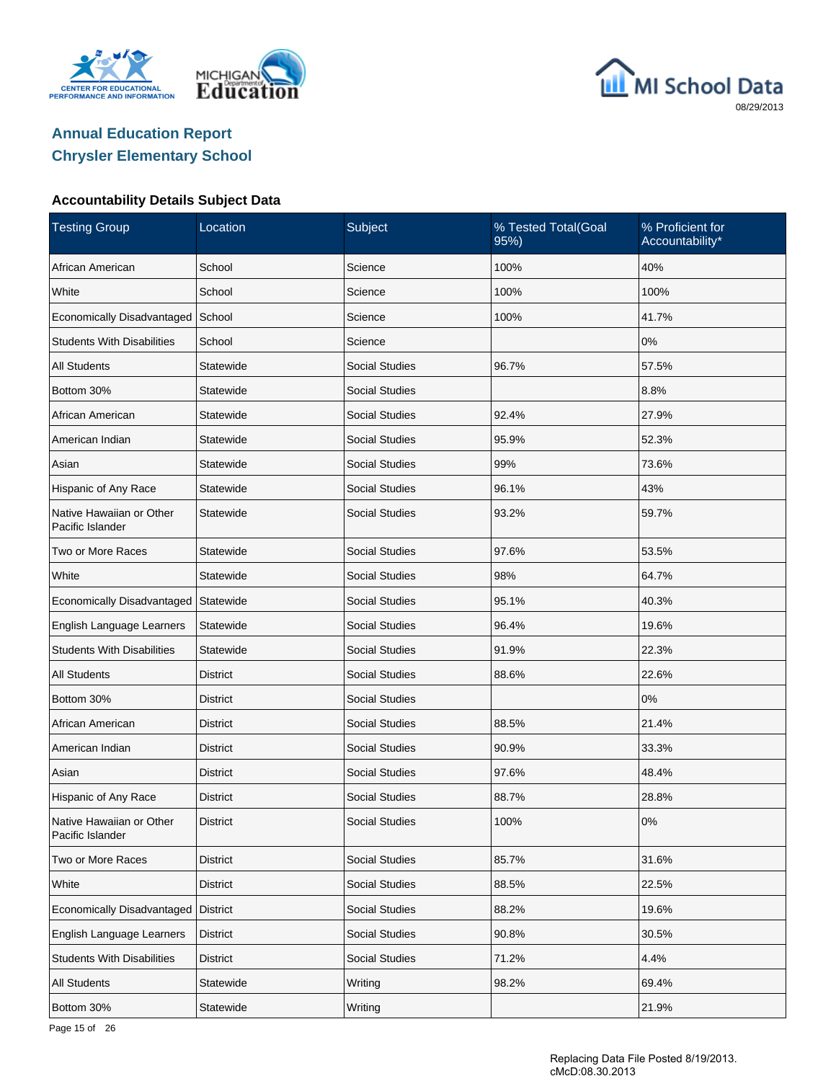





### **Accountability Details Subject Data**

| <b>Testing Group</b>                         | Location        | Subject               | % Tested Total(Goal<br>95%) | % Proficient for<br>Accountability* |
|----------------------------------------------|-----------------|-----------------------|-----------------------------|-------------------------------------|
| African American                             | School          | Science               | 100%                        | 40%                                 |
| White                                        | School          | Science               | 100%                        | 100%                                |
| Economically Disadvantaged                   | School          | Science               | 100%                        | 41.7%                               |
| <b>Students With Disabilities</b>            | School          | Science               |                             | 0%                                  |
| <b>All Students</b>                          | Statewide       | <b>Social Studies</b> | 96.7%                       | 57.5%                               |
| Bottom 30%                                   | Statewide       | <b>Social Studies</b> |                             | 8.8%                                |
| African American                             | Statewide       | <b>Social Studies</b> | 92.4%                       | 27.9%                               |
| American Indian                              | Statewide       | <b>Social Studies</b> | 95.9%                       | 52.3%                               |
| Asian                                        | Statewide       | <b>Social Studies</b> | 99%                         | 73.6%                               |
| Hispanic of Any Race                         | Statewide       | <b>Social Studies</b> | 96.1%                       | 43%                                 |
| Native Hawaiian or Other<br>Pacific Islander | Statewide       | <b>Social Studies</b> | 93.2%                       | 59.7%                               |
| Two or More Races                            | Statewide       | <b>Social Studies</b> | 97.6%                       | 53.5%                               |
| White                                        | Statewide       | <b>Social Studies</b> | 98%                         | 64.7%                               |
| Economically Disadvantaged                   | Statewide       | Social Studies        | 95.1%                       | 40.3%                               |
| English Language Learners                    | Statewide       | <b>Social Studies</b> | 96.4%                       | 19.6%                               |
| <b>Students With Disabilities</b>            | Statewide       | Social Studies        | 91.9%                       | 22.3%                               |
| <b>All Students</b>                          | District        | <b>Social Studies</b> | 88.6%                       | 22.6%                               |
| Bottom 30%                                   | District        | Social Studies        |                             | 0%                                  |
| African American                             | District        | <b>Social Studies</b> | 88.5%                       | 21.4%                               |
| American Indian                              | District        | <b>Social Studies</b> | 90.9%                       | 33.3%                               |
| Asian                                        | District        | Social Studies        | 97.6%                       | 48.4%                               |
| Hispanic of Any Race                         | District        | <b>Social Studies</b> | 88.7%                       | 28.8%                               |
| Native Hawaiian or Other<br>Pacific Islander | <b>District</b> | <b>Social Studies</b> | 100%                        | 0%                                  |
| Two or More Races                            | <b>District</b> | <b>Social Studies</b> | 85.7%                       | 31.6%                               |
| White                                        | <b>District</b> | Social Studies        | 88.5%                       | 22.5%                               |
| Economically Disadvantaged                   | <b>District</b> | Social Studies        | 88.2%                       | 19.6%                               |
| English Language Learners                    | <b>District</b> | Social Studies        | 90.8%                       | 30.5%                               |
| <b>Students With Disabilities</b>            | <b>District</b> | Social Studies        | 71.2%                       | 4.4%                                |
| <b>All Students</b>                          | Statewide       | Writing               | 98.2%                       | 69.4%                               |
| Bottom 30%                                   | Statewide       | Writing               |                             | 21.9%                               |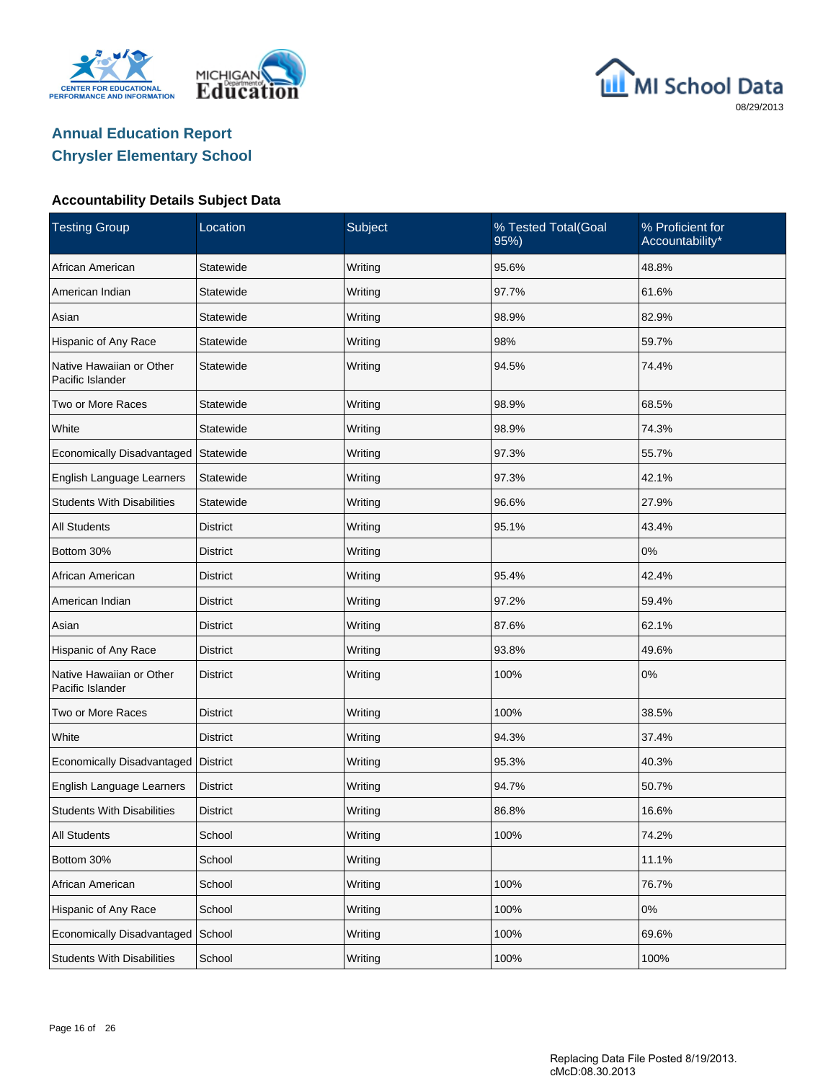





### **Accountability Details Subject Data**

| <b>Testing Group</b>                         | Location        | Subject | % Tested Total(Goal<br>95%) | % Proficient for<br>Accountability* |
|----------------------------------------------|-----------------|---------|-----------------------------|-------------------------------------|
| African American                             | Statewide       | Writing | 95.6%                       | 48.8%                               |
| American Indian                              | Statewide       | Writing | 97.7%                       | 61.6%                               |
| Asian                                        | Statewide       | Writing | 98.9%                       | 82.9%                               |
| Hispanic of Any Race                         | Statewide       | Writing | 98%                         | 59.7%                               |
| Native Hawaiian or Other<br>Pacific Islander | Statewide       | Writing | 94.5%                       | 74.4%                               |
| Two or More Races                            | Statewide       | Writing | 98.9%                       | 68.5%                               |
| White                                        | Statewide       | Writing | 98.9%                       | 74.3%                               |
| Economically Disadvantaged                   | Statewide       | Writing | 97.3%                       | 55.7%                               |
| English Language Learners                    | Statewide       | Writing | 97.3%                       | 42.1%                               |
| <b>Students With Disabilities</b>            | Statewide       | Writing | 96.6%                       | 27.9%                               |
| <b>All Students</b>                          | <b>District</b> | Writing | 95.1%                       | 43.4%                               |
| Bottom 30%                                   | District        | Writing |                             | $0\%$                               |
| African American                             | <b>District</b> | Writing | 95.4%                       | 42.4%                               |
| American Indian                              | District        | Writing | 97.2%                       | 59.4%                               |
| Asian                                        | <b>District</b> | Writing | 87.6%                       | 62.1%                               |
| Hispanic of Any Race                         | District        | Writing | 93.8%                       | 49.6%                               |
| Native Hawaiian or Other<br>Pacific Islander | <b>District</b> | Writing | 100%                        | 0%                                  |
| Two or More Races                            | <b>District</b> | Writing | 100%                        | 38.5%                               |
| White                                        | <b>District</b> | Writing | 94.3%                       | 37.4%                               |
| Economically Disadvantaged                   | District        | Writing | 95.3%                       | 40.3%                               |
| English Language Learners                    | <b>District</b> | Writing | 94.7%                       | 50.7%                               |
| <b>Students With Disabilities</b>            | <b>District</b> | Writing | 86.8%                       | 16.6%                               |
| <b>All Students</b>                          | School          | Writing | 100%                        | 74.2%                               |
| Bottom 30%                                   | School          | Writing |                             | 11.1%                               |
| African American                             | School          | Writing | 100%                        | 76.7%                               |
| Hispanic of Any Race                         | School          | Writing | 100%                        | 0%                                  |
| Economically Disadvantaged                   | School          | Writing | 100%                        | 69.6%                               |
| <b>Students With Disabilities</b>            | School          | Writing | 100%                        | 100%                                |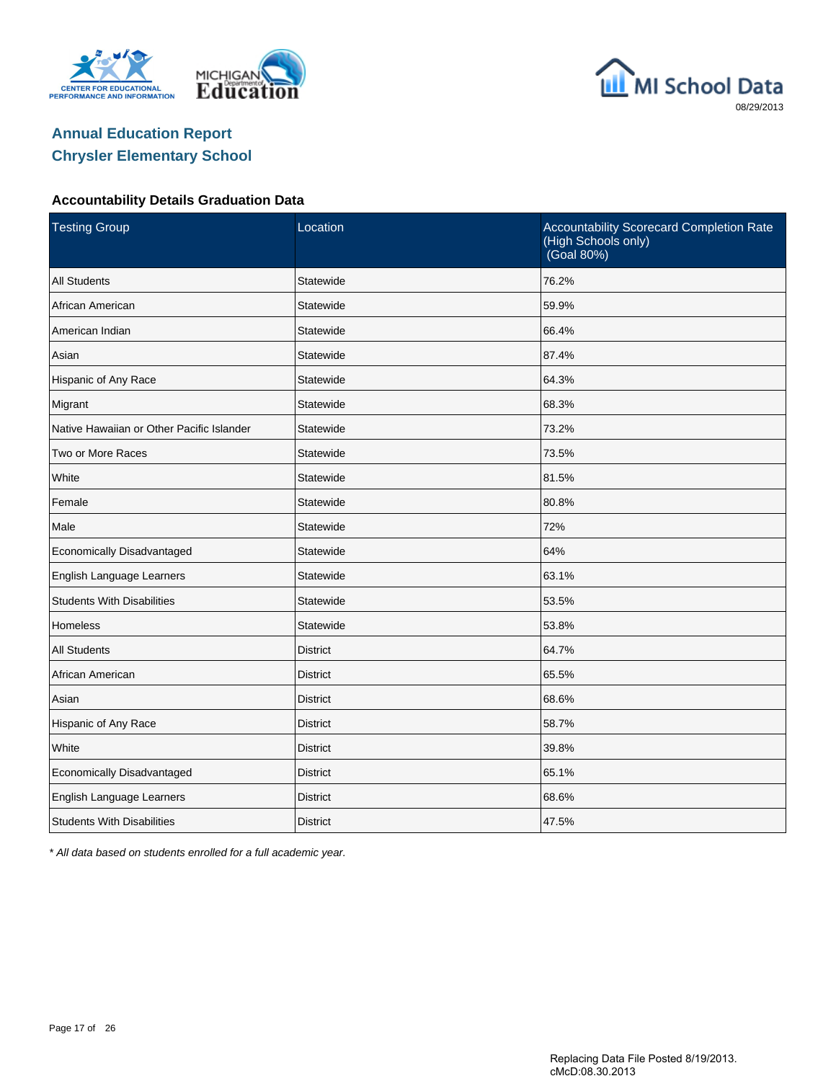





#### **Accountability Details Graduation Data**

| <b>Testing Group</b>                      | Location        | Accountability Scorecard Completion Rate<br>(High Schools only)<br>(Goal 80%) |
|-------------------------------------------|-----------------|-------------------------------------------------------------------------------|
| <b>All Students</b>                       | Statewide       | 76.2%                                                                         |
| African American                          | Statewide       | 59.9%                                                                         |
| American Indian                           | Statewide       | 66.4%                                                                         |
| Asian                                     | Statewide       | 87.4%                                                                         |
| Hispanic of Any Race                      | Statewide       | 64.3%                                                                         |
| Migrant                                   | Statewide       | 68.3%                                                                         |
| Native Hawaiian or Other Pacific Islander | Statewide       | 73.2%                                                                         |
| Two or More Races                         | Statewide       | 73.5%                                                                         |
| White                                     | Statewide       | 81.5%                                                                         |
| Female                                    | Statewide       | 80.8%                                                                         |
| Male                                      | Statewide       | 72%                                                                           |
| Economically Disadvantaged                | Statewide       | 64%                                                                           |
| English Language Learners                 | Statewide       | 63.1%                                                                         |
| <b>Students With Disabilities</b>         | Statewide       | 53.5%                                                                         |
| <b>Homeless</b>                           | Statewide       | 53.8%                                                                         |
| <b>All Students</b>                       | <b>District</b> | 64.7%                                                                         |
| African American                          | <b>District</b> | 65.5%                                                                         |
| Asian                                     | <b>District</b> | 68.6%                                                                         |
| Hispanic of Any Race                      | District        | 58.7%                                                                         |
| White                                     | <b>District</b> | 39.8%                                                                         |
| Economically Disadvantaged                | <b>District</b> | 65.1%                                                                         |
| English Language Learners                 | <b>District</b> | 68.6%                                                                         |
| <b>Students With Disabilities</b>         | <b>District</b> | 47.5%                                                                         |

\* All data based on students enrolled for a full academic year.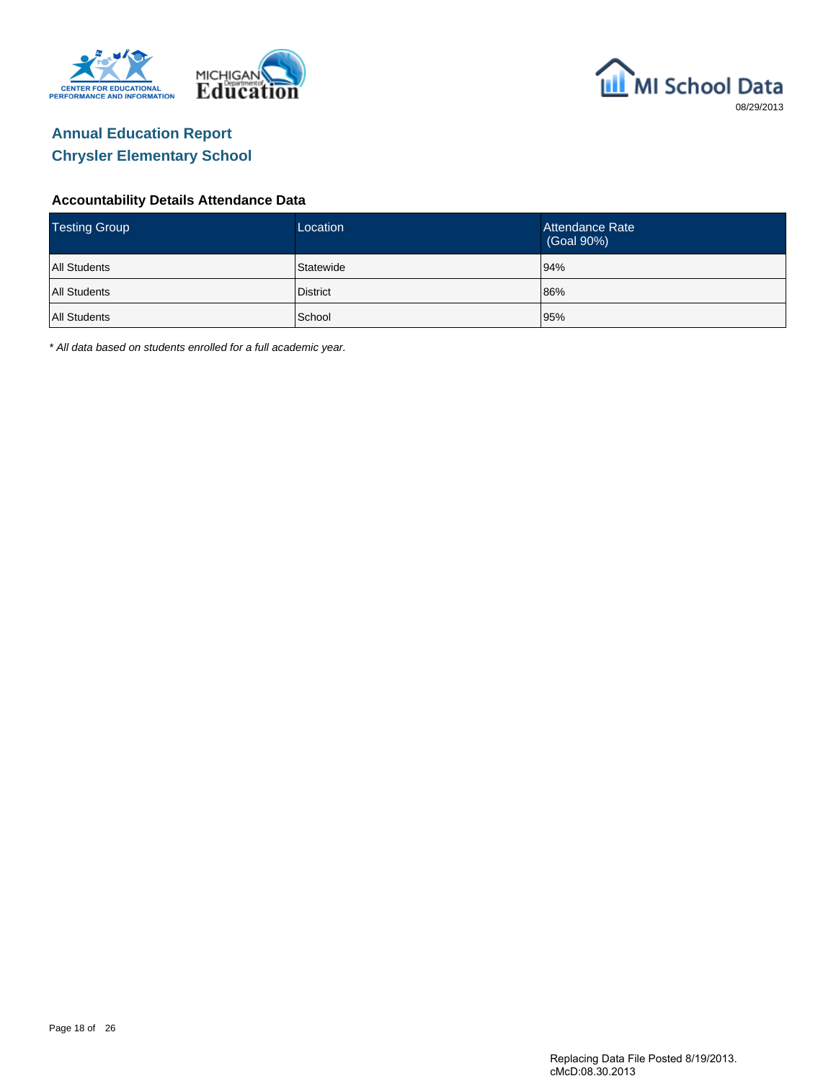



#### **Accountability Details Attendance Data**

| <b>Testing Group</b> | Location  | Attendance Rate<br>(Goal 90%) |
|----------------------|-----------|-------------------------------|
| <b>All Students</b>  | Statewide | 94%                           |
| <b>All Students</b>  | District  | 86%                           |
| <b>All Students</b>  | School    | 95%                           |

\* All data based on students enrolled for a full academic year.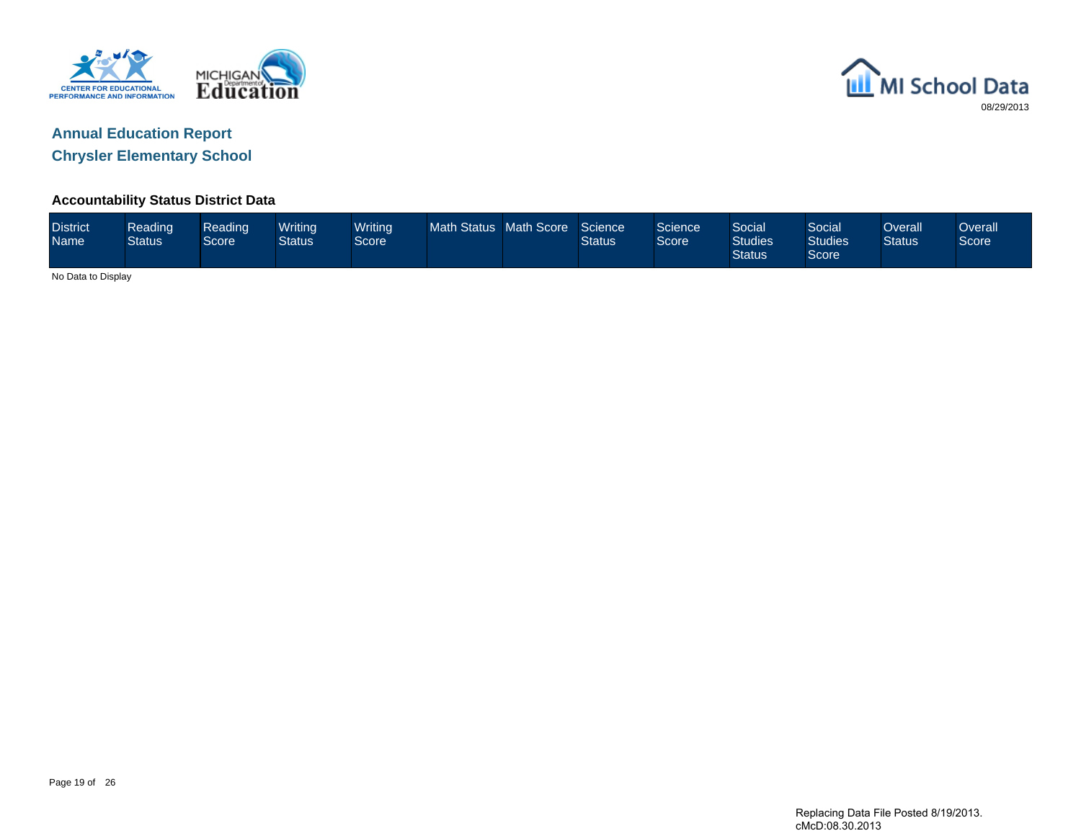



**Accountability Status District Data**

|  | <b>District</b><br><b>Name</b> | Reading<br><b>Status</b> | Reading<br>Score <sup>1</sup> | <b>Writing</b><br>Status | Writing<br><b>Score</b> | Math Status Math Score |  | Science<br><b>Status</b> | Science<br>Score | Social <sup>1</sup><br><b>Studies</b><br><b>Status</b> | Social<br><b>Studies</b><br>Score | Overall<br><b>Status</b> | Overall<br>Score |
|--|--------------------------------|--------------------------|-------------------------------|--------------------------|-------------------------|------------------------|--|--------------------------|------------------|--------------------------------------------------------|-----------------------------------|--------------------------|------------------|
|--|--------------------------------|--------------------------|-------------------------------|--------------------------|-------------------------|------------------------|--|--------------------------|------------------|--------------------------------------------------------|-----------------------------------|--------------------------|------------------|

No Data to Display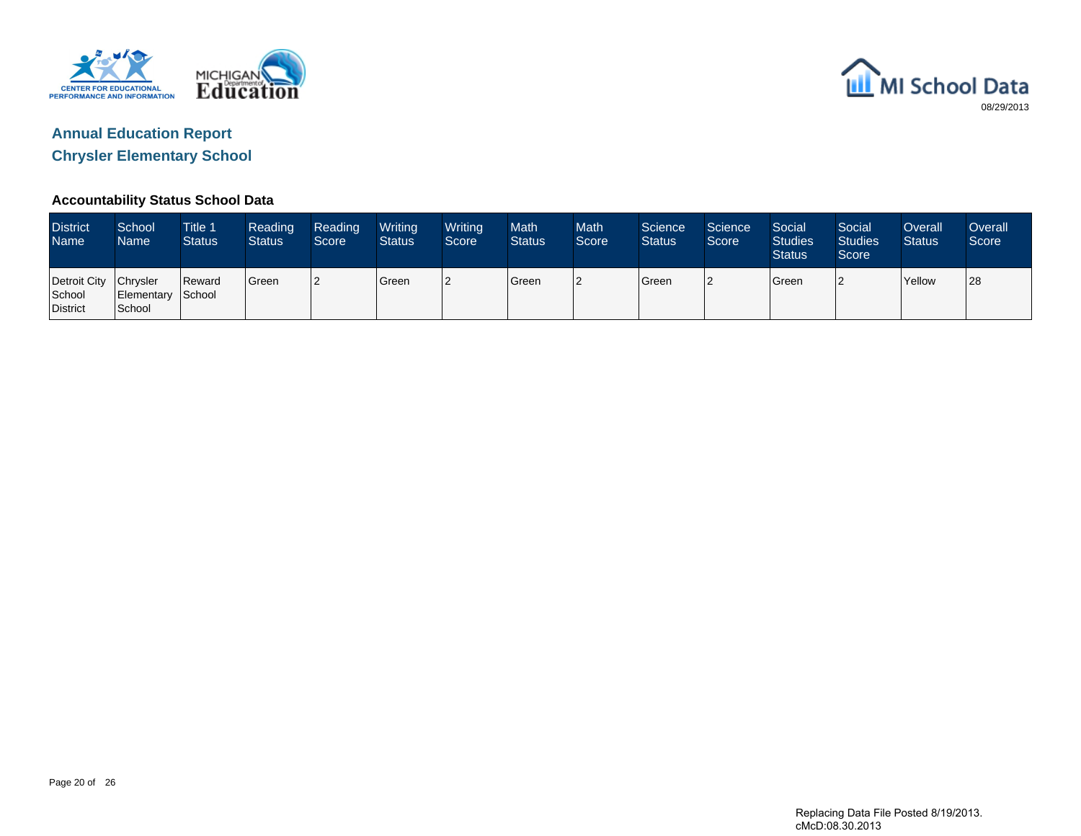



#### **Accountability Status School Data**

| <b>District</b><br><b>Name</b>              | School<br>Name              | <b>Title 1</b><br><b>Status</b> | Reading<br><b>Status</b> | <b>Reading</b><br>Score | Writing<br><b>Status</b> | Writing<br>Score | <b>Math</b><br><b>Status</b> | <b>Math</b><br>Score | Science<br><b>Status</b> | Science<br>Score | Social<br><b>Studies</b><br><b>Status</b> | Social<br><b>Studies</b><br>Score | Overall<br><b>Status</b> | Overall<br>Score |
|---------------------------------------------|-----------------------------|---------------------------------|--------------------------|-------------------------|--------------------------|------------------|------------------------------|----------------------|--------------------------|------------------|-------------------------------------------|-----------------------------------|--------------------------|------------------|
| Detroit City Chrysler<br>School<br>District | Elementary School<br>School | Reward                          | <b>Green</b>             |                         | <b>Green</b>             | 12               | <b>S</b> reen                | l2                   | Green                    |                  | <b>Green</b>                              |                                   | <b>Yellow</b>            | 28               |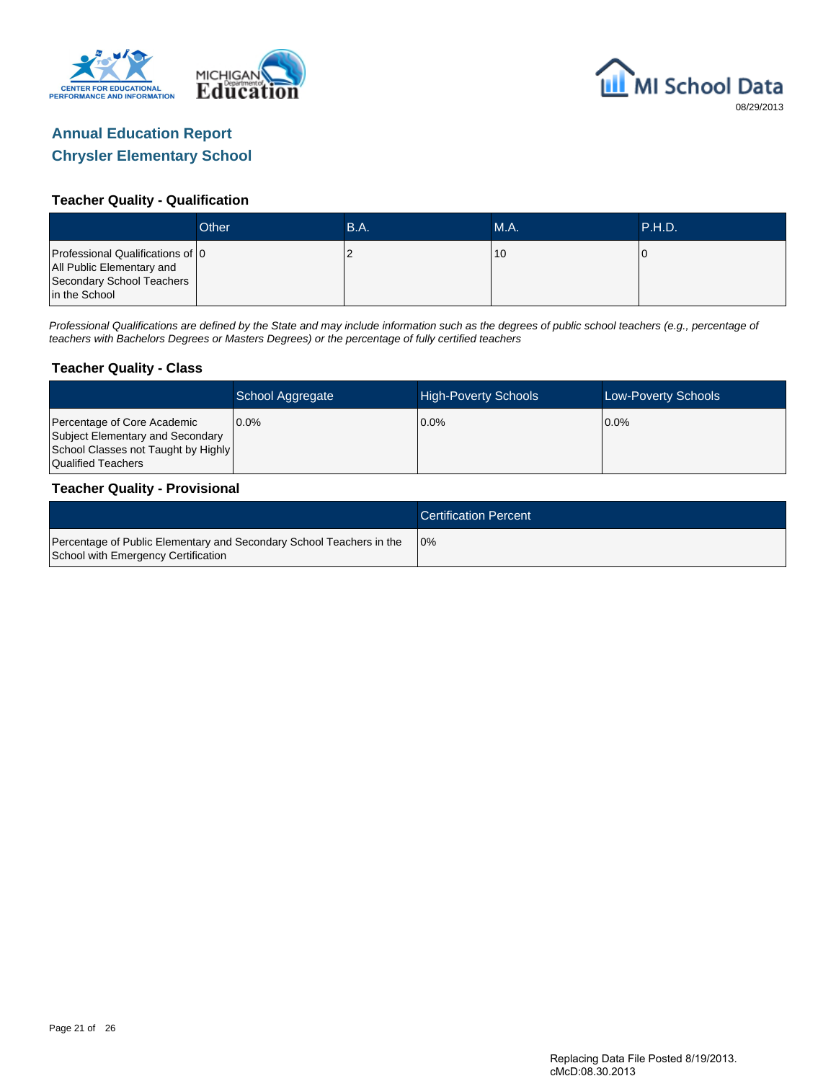



#### **Teacher Quality - Qualification**

|                                                                                                             | Other | B.A. | <b>M.A.</b> | <b>TP.H.D.</b> |
|-------------------------------------------------------------------------------------------------------------|-------|------|-------------|----------------|
| Professional Qualifications of 0<br>All Public Elementary and<br>Secondary School Teachers<br>in the School |       |      | 10          |                |

Professional Qualifications are defined by the State and may include information such as the degrees of public school teachers (e.g., percentage of teachers with Bachelors Degrees or Masters Degrees) or the percentage of fully certified teachers

#### **Teacher Quality - Class**

|                                                                                                                              | School Aggregate | <b>High-Poverty Schools</b> | Low-Poverty Schools |
|------------------------------------------------------------------------------------------------------------------------------|------------------|-----------------------------|---------------------|
| Percentage of Core Academic<br>Subject Elementary and Secondary<br>School Classes not Taught by Highly<br>Qualified Teachers | $0.0\%$          | $0.0\%$                     | $0.0\%$             |

#### **Teacher Quality - Provisional**

|                                                                                                             | <b>Certification Percent</b> |
|-------------------------------------------------------------------------------------------------------------|------------------------------|
| Percentage of Public Elementary and Secondary School Teachers in the<br>School with Emergency Certification | 10%                          |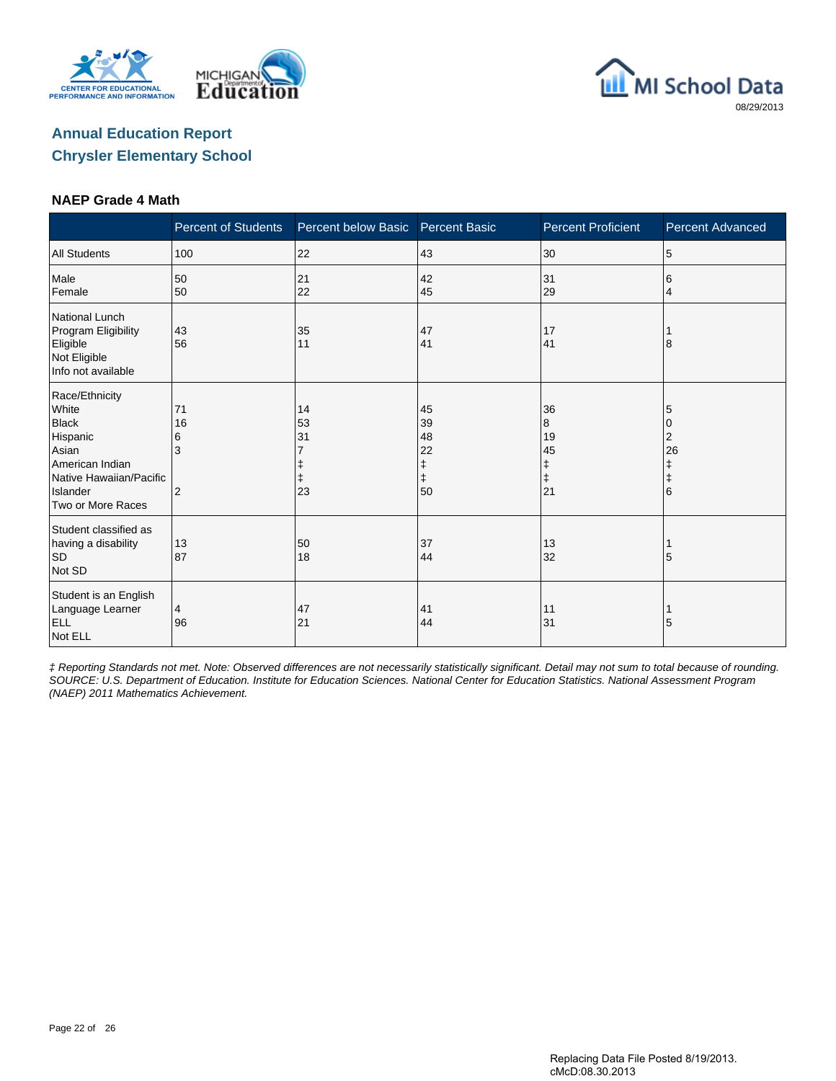





#### **NAEP Grade 4 Math**

|                                                                                                                                             | <b>Percent of Students</b>           | Percent below Basic  | <b>Percent Basic</b>                 | <b>Percent Proficient</b>                    | <b>Percent Advanced</b>                   |
|---------------------------------------------------------------------------------------------------------------------------------------------|--------------------------------------|----------------------|--------------------------------------|----------------------------------------------|-------------------------------------------|
| <b>All Students</b>                                                                                                                         | 100                                  | 22                   | 43                                   | 30                                           | 5                                         |
| Male<br>Female                                                                                                                              | 50<br>50                             | 21<br>22             | 42<br>45                             | 31<br>29                                     | 6<br>4                                    |
| <b>National Lunch</b><br>Program Eligibility<br>Eligible<br>Not Eligible<br>Info not available                                              | 43<br>56                             | 35<br>11             | 47<br>41                             | 17<br>41                                     | 8                                         |
| Race/Ethnicity<br>White<br><b>Black</b><br>Hispanic<br>Asian<br>American Indian<br>Native Hawaiian/Pacific<br>Islander<br>Two or More Races | 71<br>16<br>6<br>3<br>$\overline{2}$ | 14<br>53<br>31<br>23 | 45<br>39<br>48<br>22<br>ŧ<br>ŧ<br>50 | 36<br>8<br>19<br>45<br>ŧ<br>$\ddagger$<br>21 | 5<br>0<br>2<br>26<br>ŧ<br>$\ddagger$<br>6 |
| Student classified as<br>having a disability<br><b>SD</b><br>Not SD                                                                         | 13<br>87                             | 50<br>18             | 37<br>44                             | 13<br>32                                     | 5                                         |
| Student is an English<br>Language Learner<br><b>ELL</b><br>Not ELL                                                                          | 4<br>96                              | 47<br>21             | 41<br>44                             | 11<br>31                                     | 5                                         |

‡ Reporting Standards not met. Note: Observed differences are not necessarily statistically significant. Detail may not sum to total because of rounding. SOURCE: U.S. Department of Education. Institute for Education Sciences. National Center for Education Statistics. National Assessment Program (NAEP) 2011 Mathematics Achievement.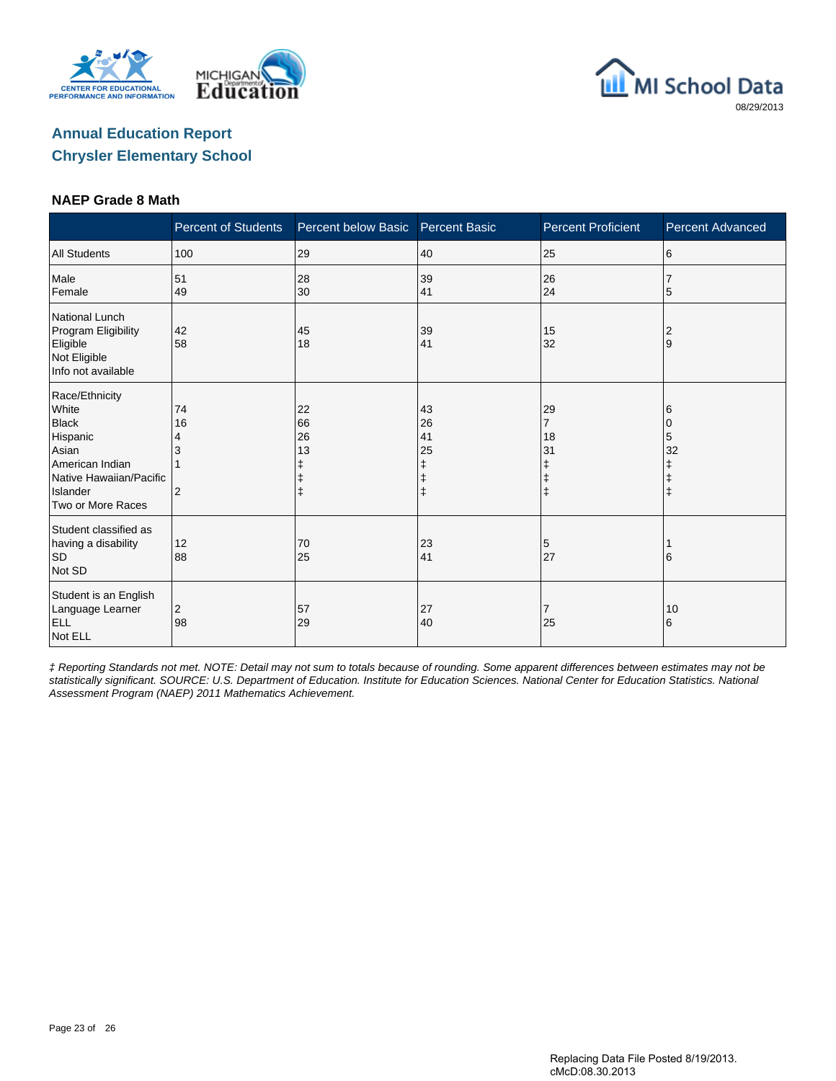





#### **NAEP Grade 8 Math**

|                                                                                                                                             | <b>Percent of Students</b>      | Percent below Basic                | <b>Percent Basic</b>           | <b>Percent Proficient</b>                                | Percent Advanced           |
|---------------------------------------------------------------------------------------------------------------------------------------------|---------------------------------|------------------------------------|--------------------------------|----------------------------------------------------------|----------------------------|
| <b>All Students</b>                                                                                                                         | 100                             | 29                                 | 40                             | 25                                                       | 6                          |
| Male<br>Female                                                                                                                              | 51<br>49                        | 28<br>30                           | 39<br>41                       | 26<br>24                                                 | 5                          |
| <b>National Lunch</b><br>Program Eligibility<br>Eligible<br>Not Eligible<br>Info not available                                              | 42<br>58                        | 45<br>18                           | 39<br>41                       | 15<br>32                                                 | $\overline{2}$<br>9        |
| Race/Ethnicity<br>White<br><b>Black</b><br>Hispanic<br>Asian<br>American Indian<br>Native Hawaiian/Pacific<br>Islander<br>Two or More Races | 74<br>16<br>4<br>$\overline{2}$ | 22<br>66<br>26<br>13<br>$\ddagger$ | 43<br>26<br>41<br>25<br>ŧ<br>ŧ | 29<br>$\overline{7}$<br>18<br>31<br>ŧ<br>ŧ<br>$\ddagger$ | 6<br>5<br>32<br>$\ddagger$ |
| Student classified as<br>having a disability<br>SD<br>Not SD                                                                                | 12<br>88                        | 70<br>25                           | 23<br>41                       | 5<br>27                                                  | 6                          |
| Student is an English<br>Language Learner<br><b>ELL</b><br>Not ELL                                                                          | $\overline{c}$<br>98            | 57<br>29                           | 27<br>40                       | $\overline{7}$<br>25                                     | 10<br>6                    |

‡ Reporting Standards not met. NOTE: Detail may not sum to totals because of rounding. Some apparent differences between estimates may not be statistically significant. SOURCE: U.S. Department of Education. Institute for Education Sciences. National Center for Education Statistics. National Assessment Program (NAEP) 2011 Mathematics Achievement.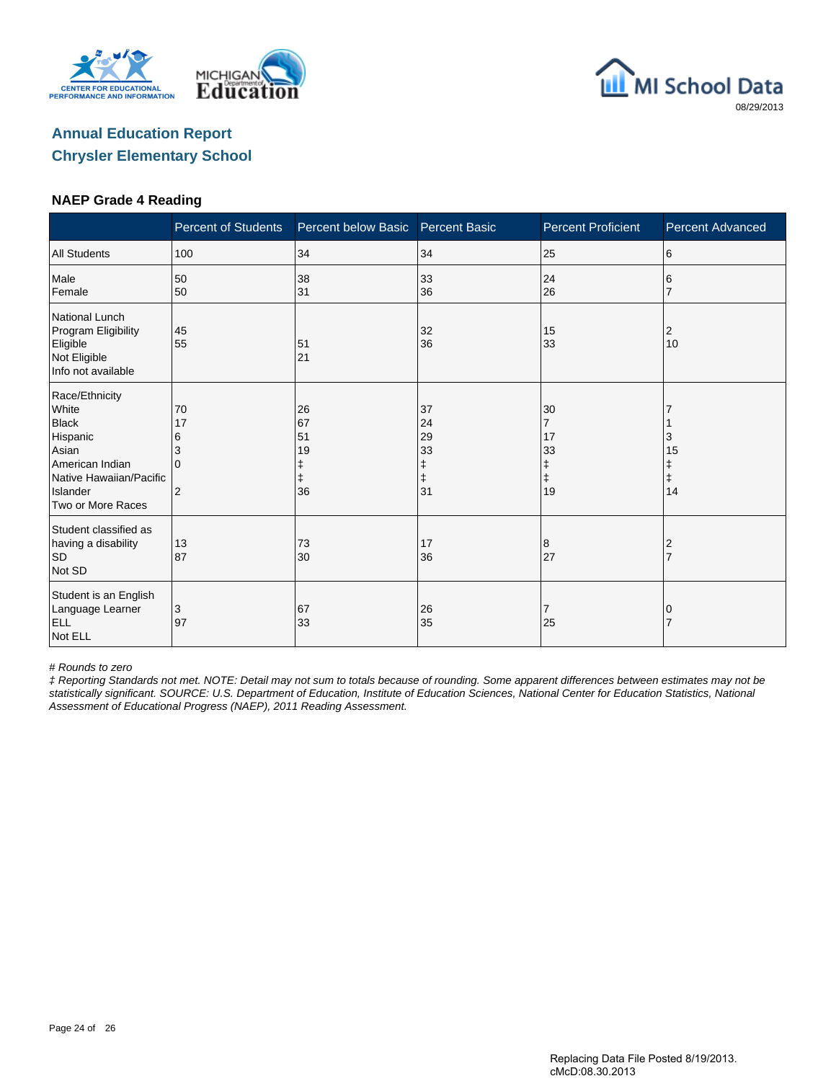





#### **NAEP Grade 4 Reading**

|                                                                                                                                             | <b>Percent of Students</b>                           | Percent below Basic        | <b>Percent Basic</b>                 | <b>Percent Proficient</b>                                 | <b>Percent Advanced</b>          |
|---------------------------------------------------------------------------------------------------------------------------------------------|------------------------------------------------------|----------------------------|--------------------------------------|-----------------------------------------------------------|----------------------------------|
| <b>All Students</b>                                                                                                                         | 100                                                  | 34                         | 34                                   | 25                                                        | 6                                |
| Male<br>Female                                                                                                                              | 50<br>50                                             | 38<br>31                   | 33<br>36                             | 24<br>26                                                  | 6                                |
| <b>National Lunch</b><br>Program Eligibility<br>Eligible<br>Not Eligible<br>Info not available                                              | 45<br>55                                             | 51<br>21                   | 32<br>36                             | 15<br>33                                                  | 2<br>10                          |
| Race/Ethnicity<br>White<br><b>Black</b><br>Hispanic<br>Asian<br>American Indian<br>Native Hawaiian/Pacific<br>Islander<br>Two or More Races | 70<br>17<br>6<br>3<br><sup>0</sup><br>$\overline{2}$ | 26<br>67<br>51<br>19<br>36 | 37<br>24<br>29<br>33<br>ŧ<br>ŧ<br>31 | 30<br>$\overline{7}$<br>17<br>33<br>ŧ<br>$\ddagger$<br>19 | 3<br>15<br>Ŧ<br>$\ddagger$<br>14 |
| Student classified as<br>having a disability<br><b>SD</b><br>Not SD                                                                         | 13<br>87                                             | 73<br>30                   | 17<br>36                             | 8<br>27                                                   | 2<br>$\overline{7}$              |
| Student is an English<br>Language Learner<br><b>ELL</b><br>Not ELL                                                                          | 3<br>97                                              | 67<br>33                   | 26<br>35                             | 7<br>25                                                   | 0                                |

# Rounds to zero

‡ Reporting Standards not met. NOTE: Detail may not sum to totals because of rounding. Some apparent differences between estimates may not be statistically significant. SOURCE: U.S. Department of Education, Institute of Education Sciences, National Center for Education Statistics, National Assessment of Educational Progress (NAEP), 2011 Reading Assessment.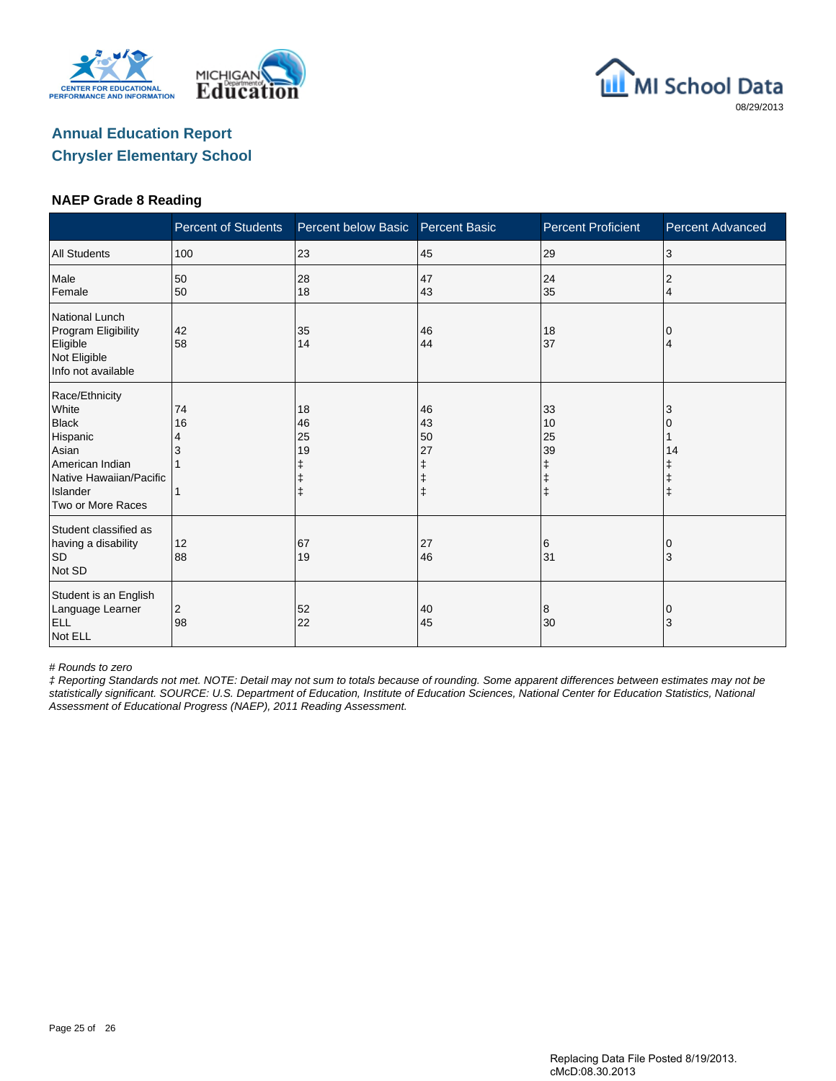





#### **NAEP Grade 8 Reading**

|                                                                                                                                             | <b>Percent of Students</b> | Percent below Basic                                   | <b>Percent Basic</b>      | <b>Percent Proficient</b>                             | <b>Percent Advanced</b> |
|---------------------------------------------------------------------------------------------------------------------------------------------|----------------------------|-------------------------------------------------------|---------------------------|-------------------------------------------------------|-------------------------|
| <b>All Students</b>                                                                                                                         | 100                        | 23                                                    | 45                        | 29                                                    | 3                       |
| Male<br>Female                                                                                                                              | 50<br>50                   | 28<br>18                                              | 47<br>43                  | 24<br>35                                              | 2<br>$\overline{4}$     |
| National Lunch<br>Program Eligibility<br>Eligible<br>Not Eligible<br>Info not available                                                     | 42<br>58                   | 35<br>14                                              | 46<br>44                  | 18<br>37                                              | 0<br>4                  |
| Race/Ethnicity<br>White<br><b>Black</b><br>Hispanic<br>Asian<br>American Indian<br>Native Hawaiian/Pacific<br>Islander<br>Two or More Races | 74<br>16<br>4<br>3         | 18<br>46<br>25<br>19<br>ŧ<br>$\ddagger$<br>$\ddagger$ | 46<br>43<br>50<br>27<br>ŧ | 33<br>10<br>25<br>39<br>ŧ<br>$\ddagger$<br>$\ddagger$ | 3<br>14                 |
| Student classified as<br>having a disability<br><b>SD</b><br>Not SD                                                                         | 12<br>88                   | 67<br>19                                              | 27<br>46                  | 6<br>31                                               | ΙO<br>3                 |
| Student is an English<br>Language Learner<br><b>ELL</b><br>Not ELL                                                                          | 2<br>98                    | 52<br>22                                              | 40<br>45                  | 8<br>30                                               | 0<br>3                  |

# Rounds to zero

‡ Reporting Standards not met. NOTE: Detail may not sum to totals because of rounding. Some apparent differences between estimates may not be statistically significant. SOURCE: U.S. Department of Education, Institute of Education Sciences, National Center for Education Statistics, National Assessment of Educational Progress (NAEP), 2011 Reading Assessment.